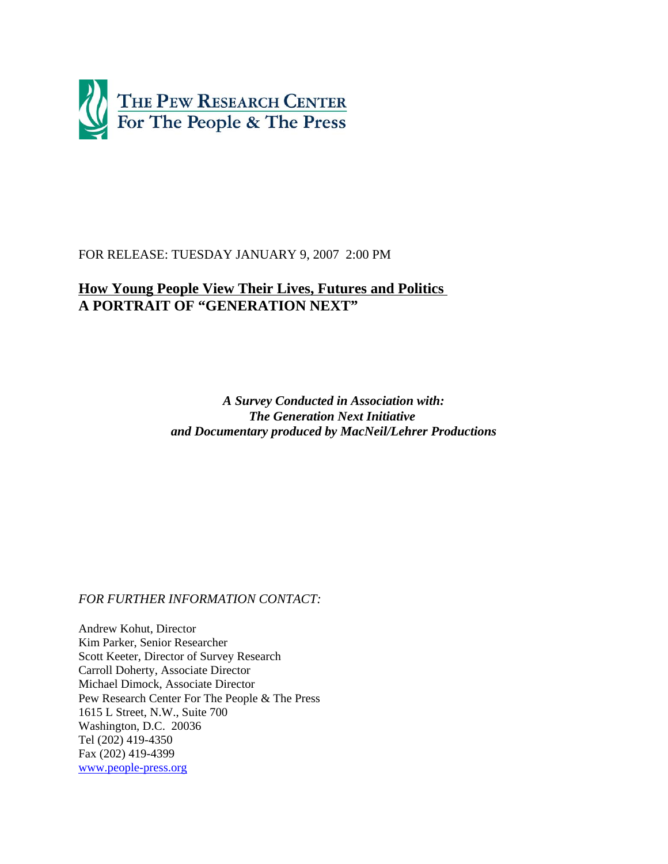

# FOR RELEASE: TUESDAY JANUARY 9, 2007 2:00 PM

# **How Young People View Their Lives, Futures and Politics A PORTRAIT OF "GENERATION NEXT"**

*A Survey Conducted in Association with: The Generation Next Initiative and Documentary produced by MacNeil/Lehrer Productions*

*FOR FURTHER INFORMATION CONTACT:*

Andrew Kohut, Director Kim Parker, Senior Researcher Scott Keeter, Director of Survey Research Carroll Doherty, Associate Director Michael Dimock, Associate Director Pew Research Center For The People & The Press 1615 L Street, N.W., Suite 700 Washington, D.C. 20036 Tel (202) 419-4350 Fax (202) 419-4399 www.people-press.org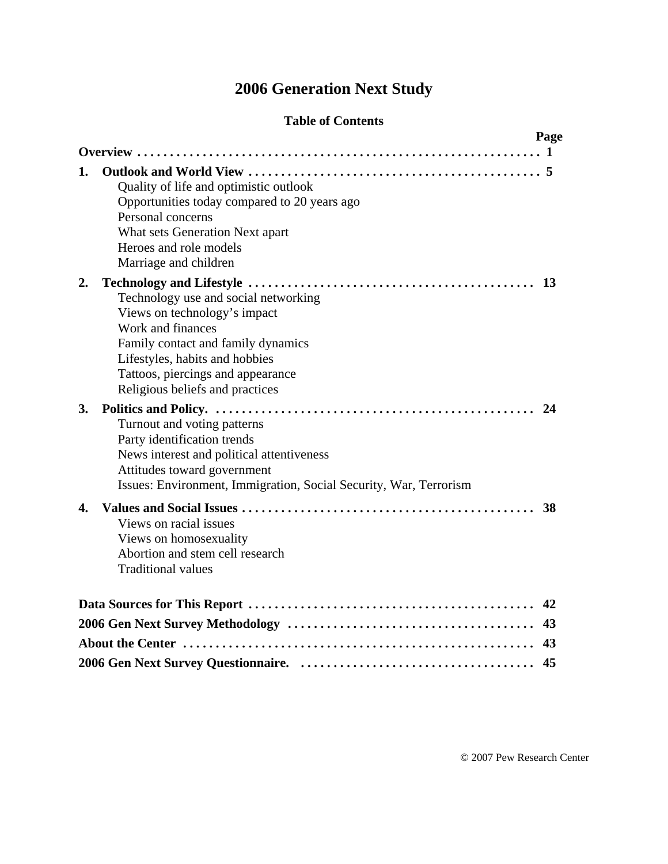# **2006 Generation Next Study**

# **Table of Contents**

|                  |                                                                                                                                                                                                                                                                    | Page |
|------------------|--------------------------------------------------------------------------------------------------------------------------------------------------------------------------------------------------------------------------------------------------------------------|------|
| 1.               | Quality of life and optimistic outlook<br>Opportunities today compared to 20 years ago<br>Personal concerns<br>What sets Generation Next apart<br>Heroes and role models                                                                                           |      |
| 2.               | Marriage and children<br>Technology use and social networking<br>Views on technology's impact<br>Work and finances<br>Family contact and family dynamics<br>Lifestyles, habits and hobbies<br>Tattoos, piercings and appearance<br>Religious beliefs and practices | 13   |
| 3.               | Turnout and voting patterns<br>Party identification trends<br>News interest and political attentiveness<br>Attitudes toward government<br>Issues: Environment, Immigration, Social Security, War, Terrorism                                                        | 24   |
| $\overline{4}$ . | Views on racial issues<br>Views on homosexuality<br>Abortion and stem cell research<br><b>Traditional values</b>                                                                                                                                                   | 38   |
|                  |                                                                                                                                                                                                                                                                    | 42   |
|                  |                                                                                                                                                                                                                                                                    | 43   |
|                  |                                                                                                                                                                                                                                                                    | 43   |
|                  |                                                                                                                                                                                                                                                                    |      |

© 2007 Pew Research Center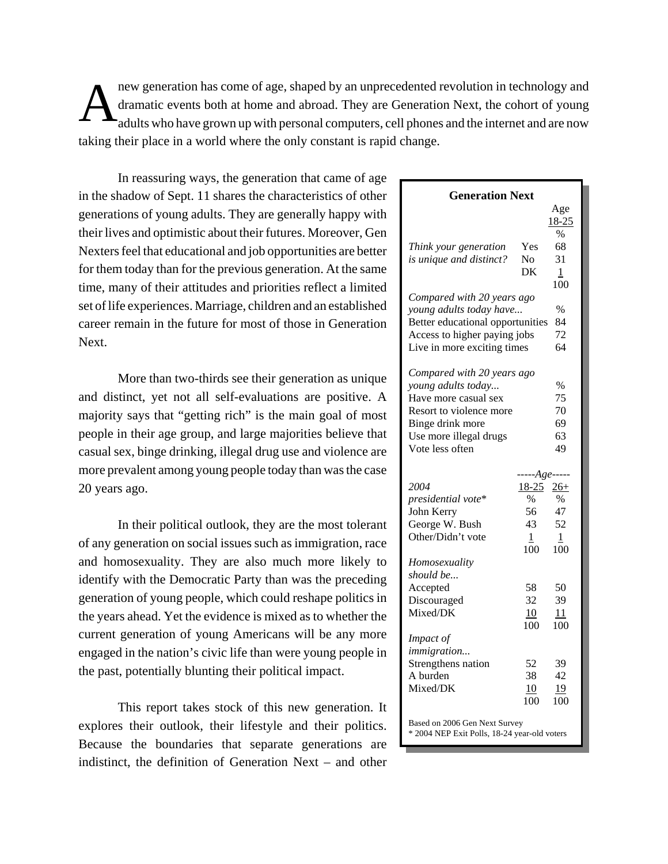new generation has come of age, shaped by an unprecedented revolution in technology and dramatic events both at home and abroad. They are Generation Next, the cohort of young adults who have grown up with personal computer dramatic events both at home and abroad. They are Generation Next, the cohort of young adults who have grown up with personal computers, cell phones and the internet and are now taking their place in a world where the only constant is rapid change.

In reassuring ways, the generation that came of age in the shadow of Sept. 11 shares the characteristics of other generations of young adults. They are generally happy with their lives and optimistic about their futures. Moreover, Gen Nexters feel that educational and job opportunities are better for them today than for the previous generation. At the same time, many of their attitudes and priorities reflect a limited set of life experiences. Marriage, children and an established career remain in the future for most of those in Generation Next.

More than two-thirds see their generation as unique and distinct, yet not all self-evaluations are positive. A majority says that "getting rich" is the main goal of most people in their age group, and large majorities believe that casual sex, binge drinking, illegal drug use and violence are more prevalent among young people today than was the case 20 years ago.

In their political outlook, they are the most tolerant of any generation on social issues such as immigration, race and homosexuality. They are also much more likely to identify with the Democratic Party than was the preceding generation of young people, which could reshape politics in the years ahead. Yet the evidence is mixed as to whether the current generation of young Americans will be any more engaged in the nation's civic life than were young people in the past, potentially blunting their political impact.

This report takes stock of this new generation. It explores their outlook, their lifestyle and their politics. Because the boundaries that separate generations are indistinct, the definition of Generation Next – and other

| <b>Generation Next</b>                           |               |                   |
|--------------------------------------------------|---------------|-------------------|
|                                                  |               | Age<br>18-25      |
|                                                  |               | $\frac{0}{0}$     |
| Think your generation<br>is unique and distinct? | Yes<br>No     | 68<br>31          |
|                                                  | DK            | 1                 |
| Compared with 20 years ago                       |               | 100               |
| young adults today have                          |               | %                 |
| Better educational opportunities                 |               | 84                |
| Access to higher paying jobs                     |               | 72                |
| Live in more exciting times                      |               | 64                |
| Compared with 20 years ago                       |               |                   |
| young adults today                               |               | $\%$              |
| Have more casual sex                             |               | 75                |
| Resort to violence more                          |               | 70                |
| Binge drink more                                 |               | 69                |
| Use more illegal drugs                           |               | 63                |
| Vote less often                                  |               | 49                |
|                                                  | -----Age----- |                   |
| 2004                                             | $18-25$       | $26+$             |
| presidential vote*                               | $\frac{0}{0}$ | $\%$              |
| John Kerry                                       | 56            | 47                |
| George W. Bush                                   | 43            | 52                |
| Other/Didn't vote                                | $\mathbf 1$   | $\mathbf{1}$      |
|                                                  | 100           | 100               |
| Homosexuality                                    |               |                   |
| should be                                        |               |                   |
| Accepted                                         | 58            | 50                |
| Discouraged                                      | 32            | 39                |
| Mixed/DK                                         | 10<br>100     | <u> 11</u><br>100 |
| Impact of                                        |               |                   |
| <i>immigration</i>                               |               |                   |
| Strengthens nation                               | 52            | 39                |
| A burden                                         | 38            | 42                |
| Mixed/DK                                         | 10            | <u> 19</u>        |
|                                                  | 100           | 100               |
| Based on 2006 Gen Next Survey                    |               |                   |
| * 2004 NEP Exit Polls, 18-24 year-old voters     |               |                   |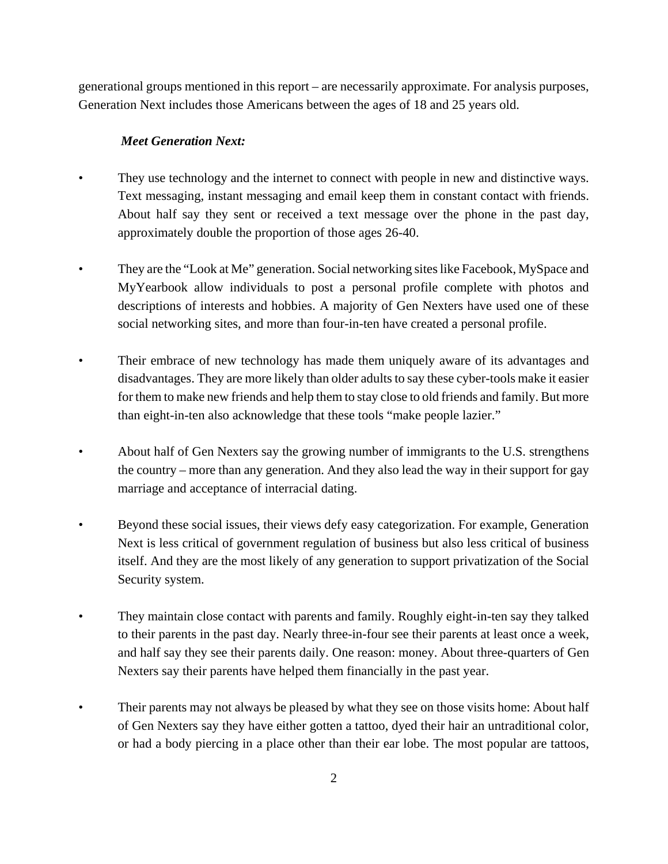generational groups mentioned in this report – are necessarily approximate. For analysis purposes, Generation Next includes those Americans between the ages of 18 and 25 years old.

# *Meet Generation Next:*

- They use technology and the internet to connect with people in new and distinctive ways. Text messaging, instant messaging and email keep them in constant contact with friends. About half say they sent or received a text message over the phone in the past day, approximately double the proportion of those ages 26-40.
- They are the "Look at Me" generation. Social networking sites like Facebook, MySpace and MyYearbook allow individuals to post a personal profile complete with photos and descriptions of interests and hobbies. A majority of Gen Nexters have used one of these social networking sites, and more than four-in-ten have created a personal profile.
- Their embrace of new technology has made them uniquely aware of its advantages and disadvantages. They are more likely than older adults to say these cyber-tools make it easier for them to make new friends and help them to stay close to old friends and family. But more than eight-in-ten also acknowledge that these tools "make people lazier."
- About half of Gen Nexters say the growing number of immigrants to the U.S. strengthens the country – more than any generation. And they also lead the way in their support for gay marriage and acceptance of interracial dating.
- Beyond these social issues, their views defy easy categorization. For example, Generation Next is less critical of government regulation of business but also less critical of business itself. And they are the most likely of any generation to support privatization of the Social Security system.
- They maintain close contact with parents and family. Roughly eight-in-ten say they talked to their parents in the past day. Nearly three-in-four see their parents at least once a week, and half say they see their parents daily. One reason: money. About three-quarters of Gen Nexters say their parents have helped them financially in the past year.
- Their parents may not always be pleased by what they see on those visits home: About half of Gen Nexters say they have either gotten a tattoo, dyed their hair an untraditional color, or had a body piercing in a place other than their ear lobe. The most popular are tattoos,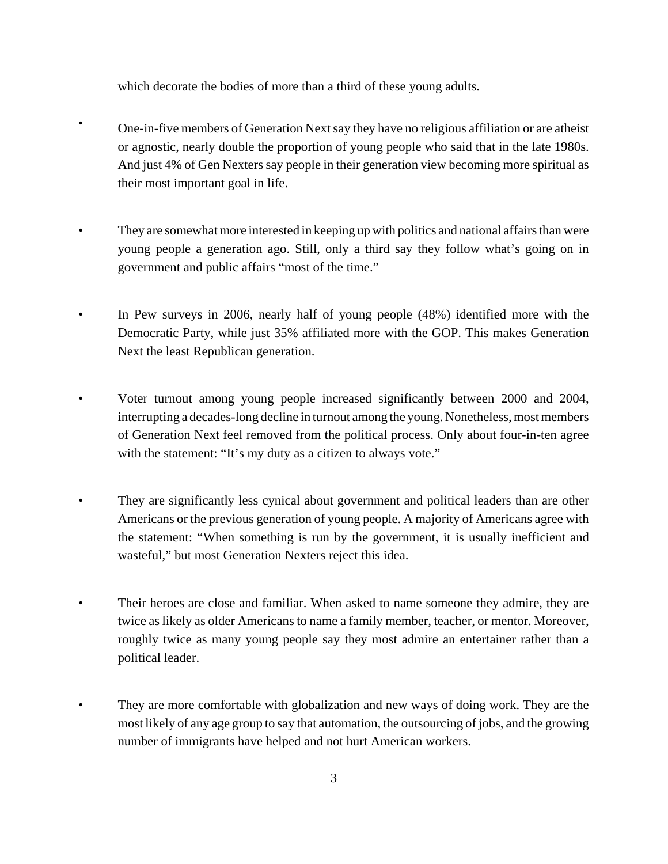which decorate the bodies of more than a third of these young adults.

- One-in-five members of Generation Next say they have no religious affiliation or are atheist or agnostic, nearly double the proportion of young people who said that in the late 1980s. And just 4% of Gen Nexters say people in their generation view becoming more spiritual as their most important goal in life.
- They are somewhat more interested in keeping up with politics and national affairs than were young people a generation ago. Still, only a third say they follow what's going on in government and public affairs "most of the time."
- In Pew surveys in 2006, nearly half of young people (48%) identified more with the Democratic Party, while just 35% affiliated more with the GOP. This makes Generation Next the least Republican generation.
- Voter turnout among young people increased significantly between 2000 and 2004, interrupting a decades-long decline in turnout among the young. Nonetheless, mostmembers of Generation Next feel removed from the political process. Only about four-in-ten agree with the statement: "It's my duty as a citizen to always vote."
- They are significantly less cynical about government and political leaders than are other Americans or the previous generation of young people. A majority of Americans agree with the statement: "When something is run by the government, it is usually inefficient and wasteful," but most Generation Nexters reject this idea.
- Their heroes are close and familiar. When asked to name someone they admire, they are twice as likely as older Americans to name a family member, teacher, or mentor. Moreover, roughly twice as many young people say they most admire an entertainer rather than a political leader.
- They are more comfortable with globalization and new ways of doing work. They are the most likely of any age group to say that automation, the outsourcing of jobs, and the growing number of immigrants have helped and not hurt American workers.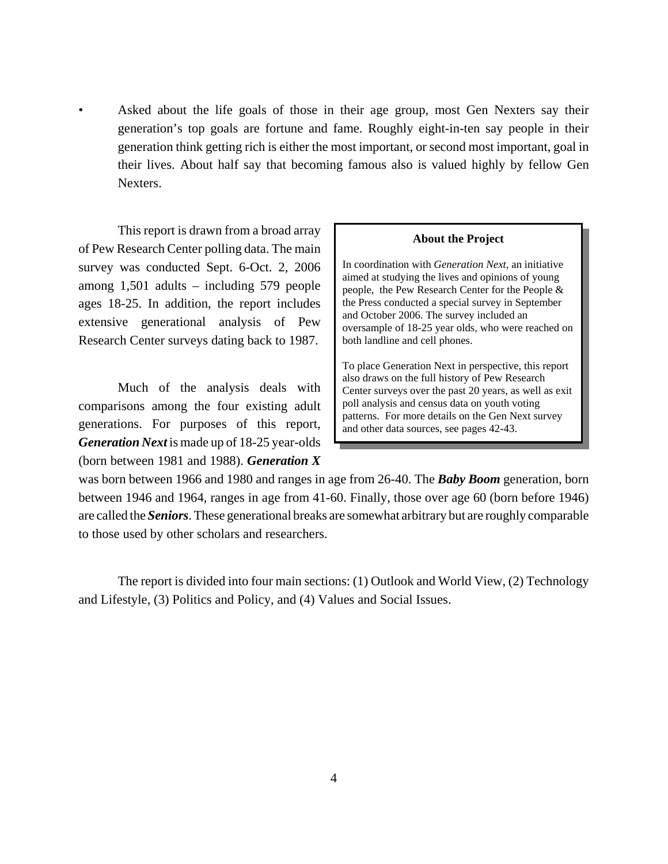Asked about the life goals of those in their age group, most Gen Nexters say their generation's top goals are fortune and fame. Roughly eight-in-ten say people in their generation think getting rich is either the most important, or second most important, goal in their lives. About half say that becoming famous also is valued highly by fellow Gen Nexters.

This report is drawn from a broad array of Pew Research Center polling data. The main survey was conducted Sept. 6-Oct. 2, 2006 among 1,501 adults – including 579 people ages 18-25. In addition, the report includes extensive generational analysis of Pew Research Center surveys dating back to 1987.

Much of the analysis deals with comparisons among the four existing adult generations. For purposes of this report, *Generation Next* is made up of 18-25 year-olds (born between 1981 and 1988). *Generation X*

#### **About the Project**

In coordination with *Generation Next*, an initiative aimed at studying the lives and opinions of young people, the Pew Research Center for the People & the Press conducted a special survey in September and October 2006. The survey included an oversample of 18-25 year olds, who were reached on both landline and cell phones.

To place Generation Next in perspective, this report also draws on the full history of Pew Research Center surveys over the past 20 years, as well as exit poll analysis and census data on youth voting patterns. For more details on the Gen Next survey and other data sources, see pages 42-43.

was born between 1966 and 1980 and ranges in age from 26-40. The *Baby Boom* generation, born between 1946 and 1964, ranges in age from 41-60. Finally, those over age 60 (born before 1946) are called the *Seniors*. These generational breaks are somewhat arbitrary but are roughly comparable to those used by other scholars and researchers.

The report is divided into four main sections: (1) Outlook and World View, (2) Technology and Lifestyle, (3) Politics and Policy, and (4) Values and Social Issues.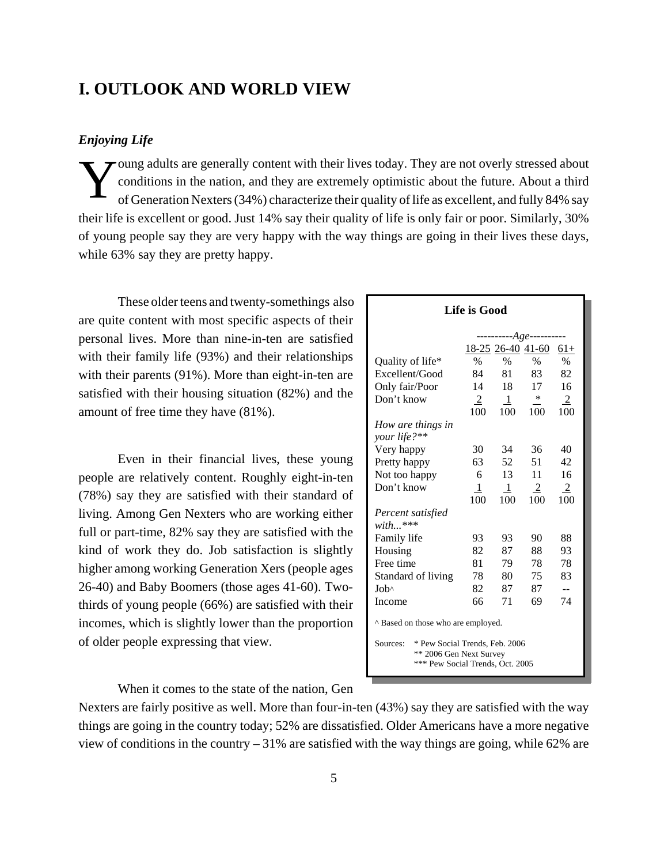# **I. OUTLOOK AND WORLD VIEW**

## *Enjoying Life*

Young adults are generally content with their lives today. They are not overly stressed about conditions in the nation, and they are extremely optimistic about the future. About a third of Generation Nexters (34%) characte conditions in the nation, and they are extremely optimistic about the future. About a third of Generation Nexters (34%) characterize their quality of life as excellent, and fully 84% say their life is excellent or good. Just 14% say their quality of life is only fair or poor. Similarly, 30% of young people say they are very happy with the way things are going in their lives these days, while 63% say they are pretty happy.

 These older teens and twenty-somethings also are quite content with most specific aspects of their personal lives. More than nine-in-ten are satisfied with their family life (93%) and their relationships with their parents (91%). More than eight-in-ten are satisfied with their housing situation (82%) and the amount of free time they have (81%).

Even in their financial lives, these young people are relatively content. Roughly eight-in-ten (78%) say they are satisfied with their standard of living. Among Gen Nexters who are working either full or part-time, 82% say they are satisfied with the kind of work they do. Job satisfaction is slightly higher among working Generation Xers (people ages 26-40) and Baby Boomers (those ages 41-60). Twothirds of young people (66%) are satisfied with their incomes, which is slightly lower than the proportion of older people expressing that view.

| Life is Good                                                                                              |              |               |                          |                |  |  |  |
|-----------------------------------------------------------------------------------------------------------|--------------|---------------|--------------------------|----------------|--|--|--|
|                                                                                                           | ---Age------ |               |                          |                |  |  |  |
|                                                                                                           |              |               | <u>18-25</u> 26-40 41-60 | 61+            |  |  |  |
| Quality of life*                                                                                          | $\%$         | $\frac{0}{0}$ | $\%$                     | $\%$           |  |  |  |
| Excellent/Good                                                                                            | 84           | 81            | 83                       | 82             |  |  |  |
| Only fair/Poor                                                                                            | 14           | 18            | 17                       | 16             |  |  |  |
| Don't know                                                                                                | 2            | -1            | *                        | $\overline{2}$ |  |  |  |
|                                                                                                           | 100          | 100           | 100                      | 100            |  |  |  |
| How are things in                                                                                         |              |               |                          |                |  |  |  |
| your life?**                                                                                              |              |               |                          |                |  |  |  |
| Very happy                                                                                                | 30           | 34            | 36                       | 40             |  |  |  |
| Pretty happy                                                                                              | 63           | 52            | 51                       | 42             |  |  |  |
| Not too happy                                                                                             | 6            | 13            | 11                       | 16             |  |  |  |
| Don't know                                                                                                | -1           | -1            | 2                        | $\overline{2}$ |  |  |  |
| 100<br>100<br>100<br>100                                                                                  |              |               |                          |                |  |  |  |
| Percent satisfied                                                                                         |              |               |                          |                |  |  |  |
| $with$ ***                                                                                                |              |               |                          |                |  |  |  |
| Family life                                                                                               | 93           | 93            | 90                       | 88             |  |  |  |
| Housing                                                                                                   | 82           | 87            | 88                       | 93             |  |  |  |
| Free time                                                                                                 | 81           | 79            | 78                       | 78             |  |  |  |
| Standard of living                                                                                        | 78           | 80            | 75                       | 83             |  |  |  |
| Job^                                                                                                      | 82           | 87            | 87                       |                |  |  |  |
| Income                                                                                                    | 66           | 71            | 69                       | 74             |  |  |  |
| ^ Based on those who are employed.                                                                        |              |               |                          |                |  |  |  |
| Sources:<br>* Pew Social Trends, Feb. 2006<br>** 2006 Gen Next Survey<br>*** Pew Social Trends, Oct. 2005 |              |               |                          |                |  |  |  |

When it comes to the state of the nation, Gen

Nexters are fairly positive as well. More than four-in-ten (43%) say they are satisfied with the way things are going in the country today; 52% are dissatisfied. Older Americans have a more negative view of conditions in the country  $-31%$  are satisfied with the way things are going, while 62% are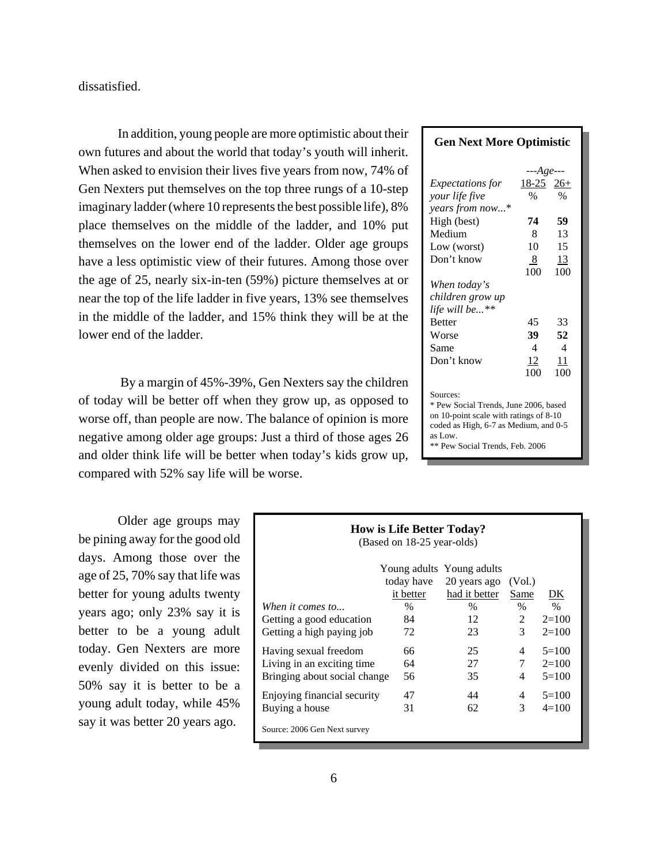dissatisfied.

In addition, young people are more optimistic about their own futures and about the world that today's youth will inherit. When asked to envision their lives five years from now, 74% of Gen Nexters put themselves on the top three rungs of a 10-step imaginary ladder (where 10 represents the best possible life), 8% place themselves on the middle of the ladder, and 10% put themselves on the lower end of the ladder. Older age groups have a less optimistic view of their futures. Among those over the age of 25, nearly six-in-ten (59%) picture themselves at or near the top of the life ladder in five years, 13% see themselves in the middle of the ladder, and 15% think they will be at the lower end of the ladder.

 By a margin of 45%-39%, Gen Nexters say the children of today will be better off when they grow up, as opposed to worse off, than people are now. The balance of opinion is more negative among older age groups: Just a third of those ages 26 and older think life will be better when today's kids grow up, compared with 52% say life will be worse.

Older age groups may be pining away for the good old days. Among those over the age of 25, 70% say that life was better for young adults twenty years ago; only 23% say it is better to be a young adult today. Gen Nexters are more evenly divided on this issue: 50% say it is better to be a young adult today, while 45% say it was better 20 years ago.

# **How is Life Better Today?** (Based on 18-25 year-olds) Young adults Young adults today have 20 years ago (Vol.) it better had it better Same DK *When it comes to...*  $\%$  % % % % Getting a good education  $84 \t 12 \t 2 = 100$ Getting a high paying job  $72$   $23$   $3$   $2=100$ Having sexual freedom  $66$   $25$   $4$   $5=100$ Living in an exciting time  $64$  27 7  $2=100$ Bringing about social change 56 35 4 5=100 Enjoying financial security  $47$  44  $4$  5=100

Buying a house  $31$  62  $3$  4=100

#### **Gen Next More Optimistic**

|                                                   | ---Age---      |                |
|---------------------------------------------------|----------------|----------------|
| <i>Expectations for</i>                           | $18-25$ $26+$  |                |
| your life five                                    | $\%$           | %              |
| years from now*                                   |                |                |
| High (best)                                       | 74             | 59             |
| Medium                                            | 8              | 13             |
| Low (worst)                                       | 10             | 15             |
| Don't know                                        | 8              | 13             |
|                                                   | 100            | 100            |
| When today's                                      |                |                |
| children grow up                                  |                |                |
| life will be**                                    |                |                |
| <b>Better</b>                                     | 45             | 33             |
| Worse                                             | 39             | 52             |
| Same                                              | $\overline{4}$ | $\overline{4}$ |
| Don't know                                        | 12             | 11             |
|                                                   | 100            | 100            |
|                                                   |                |                |
| Sources:<br>* Pew Social Trends, June 2006, based |                |                |
| on 10-point scale with ratings of 8-10            |                |                |
| coded as High, 6-7 as Medium, and 0-5             |                |                |
| as Low.                                           |                |                |
| ** Pew Social Trends, Feb. 2006                   |                |                |
|                                                   |                |                |

Source: 2006 Gen Next survey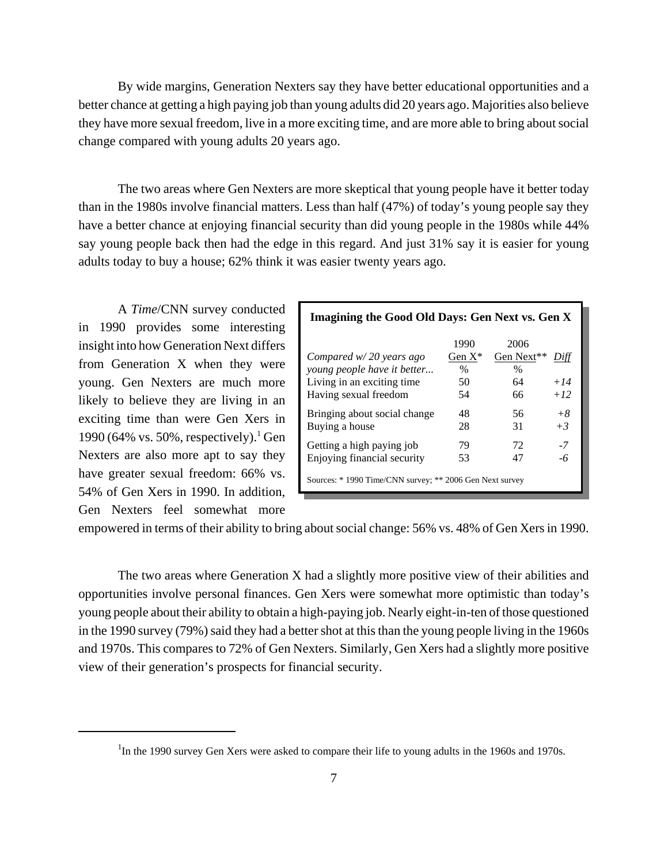By wide margins, Generation Nexters say they have better educational opportunities and a better chance at getting a high paying job than young adults did 20 years ago. Majorities also believe they have more sexual freedom, live in a more exciting time, and are more able to bring about social change compared with young adults 20 years ago.

The two areas where Gen Nexters are more skeptical that young people have it better today than in the 1980s involve financial matters. Less than half (47%) of today's young people say they have a better chance at enjoying financial security than did young people in the 1980s while 44% say young people back then had the edge in this regard. And just 31% say it is easier for young adults today to buy a house; 62% think it was easier twenty years ago.

A *Time*/CNN survey conducted in 1990 provides some interesting insight into how Generation Next differs from Generation X when they were young. Gen Nexters are much more likely to believe they are living in an exciting time than were Gen Xers in 1990 (64% vs. 50%, respectively).<sup>1</sup> Gen Nexters are also more apt to say they have greater sexual freedom: 66% vs. 54% of Gen Xers in 1990. In addition, Gen Nexters feel somewhat more

| Imagining the Good Old Days: Gen Next vs. Gen X         |           |               |       |  |  |
|---------------------------------------------------------|-----------|---------------|-------|--|--|
|                                                         | 1990      | 2006          |       |  |  |
| Compared $w/20$ years ago                               | Gen $X^*$ | Gen Next**    | Diff  |  |  |
| young people have it better                             | $\%$      | $\frac{0}{0}$ |       |  |  |
| Living in an exciting time                              | 50        | 64            | $+14$ |  |  |
| Having sexual freedom                                   | 54        | 66            | $+12$ |  |  |
| Bringing about social change                            | 48        | 56            | $+8$  |  |  |
| Buying a house                                          | 28        | 31            | $+3$  |  |  |
| Getting a high paying job                               | 79        | 72            | $-7$  |  |  |
| Enjoying financial security                             | 53        | 47            | -6    |  |  |
| Sources: *1990 Time/CNN survey; ** 2006 Gen Next survey |           |               |       |  |  |

empowered in terms of their ability to bring about social change: 56% vs. 48% of Gen Xers in 1990.

The two areas where Generation X had a slightly more positive view of their abilities and opportunities involve personal finances. Gen Xers were somewhat more optimistic than today's young people about their ability to obtain a high-paying job. Nearly eight-in-ten of those questioned in the 1990 survey (79%) said they had a better shot at this than the young people living in the 1960s and 1970s. This compares to 72% of Gen Nexters. Similarly, Gen Xers had a slightly more positive view of their generation's prospects for financial security.

 $1$ In the 1990 survey Gen Xers were asked to compare their life to young adults in the 1960s and 1970s.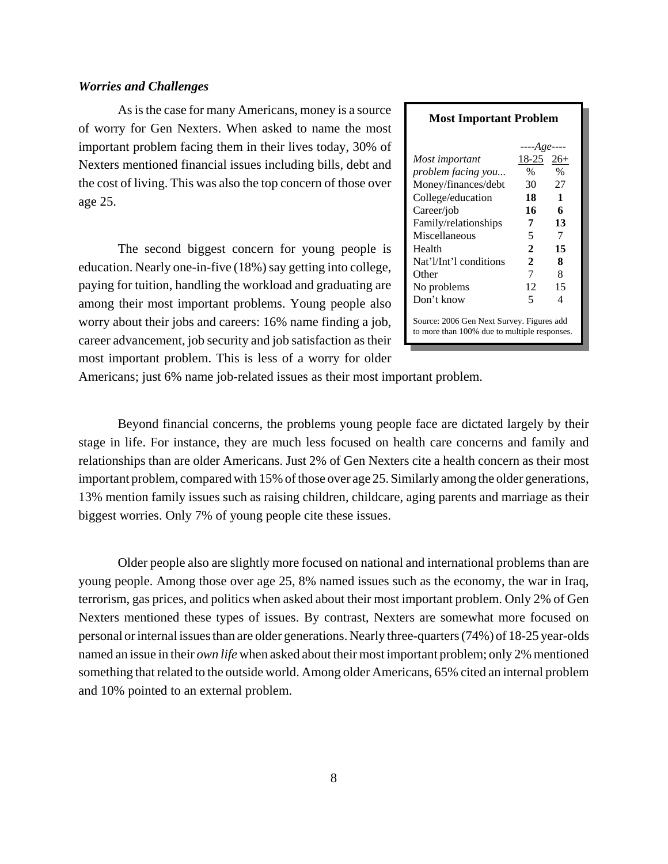## *Worries and Challenges*

As is the case for many Americans, money is a source of worry for Gen Nexters. When asked to name the most important problem facing them in their lives today, 30% of Nexters mentioned financial issues including bills, debt and the cost of living. This was also the top concern of those over age 25.

The second biggest concern for young people is education. Nearly one-in-five (18%) say getting into college, paying for tuition, handling the workload and graduating are among their most important problems. Young people also worry about their jobs and careers: 16% name finding a job, career advancement, job security and job satisfaction as their most important problem. This is less of a worry for older

#### **Most Important Problem**

|                                                                                           | ----Age---- |               |  |  |
|-------------------------------------------------------------------------------------------|-------------|---------------|--|--|
| Most important                                                                            | $18-25$ 26+ |               |  |  |
| problem facing you                                                                        | $\%$        | $\frac{0}{6}$ |  |  |
| Money/finances/debt                                                                       | 30          | 27            |  |  |
| College/education                                                                         | 18          | 1             |  |  |
| Career/job                                                                                | 16          | 6             |  |  |
| Family/relationships                                                                      | 7           | 13            |  |  |
| Miscellaneous                                                                             | 5           | 7             |  |  |
| Health                                                                                    | 2           | 15            |  |  |
| Nat'l/Int'l conditions                                                                    | 2           | 8             |  |  |
| Other                                                                                     | 7           | 8             |  |  |
| No problems                                                                               | 12          | 15            |  |  |
| Don't know                                                                                | 5           | 4             |  |  |
| Source: 2006 Gen Next Survey. Figures add<br>to more than 100% due to multiple responses. |             |               |  |  |

Americans; just 6% name job-related issues as their most important problem.

Beyond financial concerns, the problems young people face are dictated largely by their stage in life. For instance, they are much less focused on health care concerns and family and relationships than are older Americans. Just 2% of Gen Nexters cite a health concern as their most important problem, compared with 15% of those over age 25. Similarly among the older generations, 13% mention family issues such as raising children, childcare, aging parents and marriage as their biggest worries. Only 7% of young people cite these issues.

Older people also are slightly more focused on national and international problems than are young people. Among those over age 25, 8% named issues such as the economy, the war in Iraq, terrorism, gas prices, and politics when asked about their most important problem. Only 2% of Gen Nexters mentioned these types of issues. By contrast, Nexters are somewhat more focused on personal or internal issues than are older generations. Nearly three-quarters (74%) of 18-25 year-olds named an issue in their *own life* when asked about their most important problem; only 2% mentioned something that related to the outside world. Among older Americans, 65% cited an internal problem and 10% pointed to an external problem.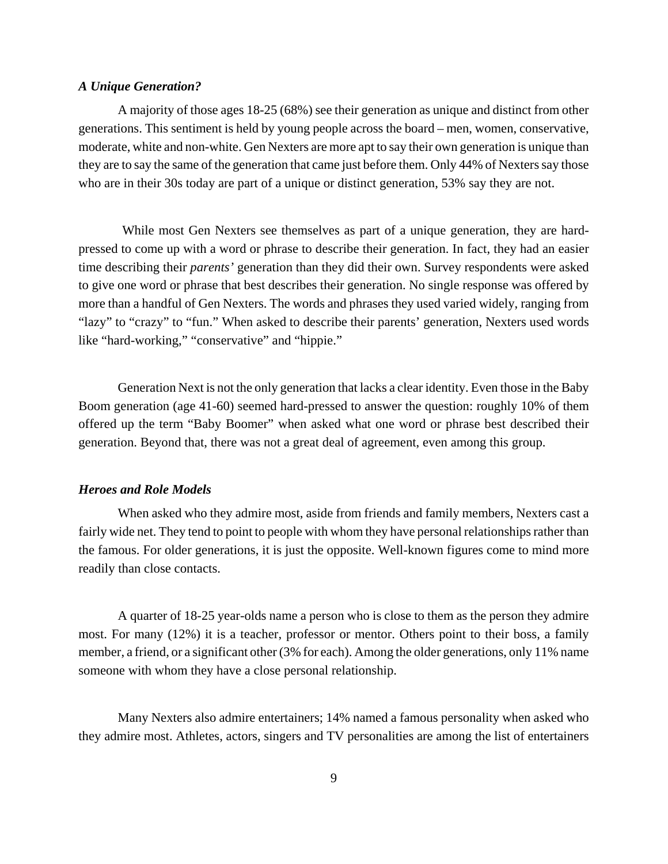#### *A Unique Generation?*

A majority of those ages 18-25 (68%) see their generation as unique and distinct from other generations. This sentiment is held by young people across the board – men, women, conservative, moderate, white and non-white. Gen Nexters are more apt to say their own generation is unique than they are to say the same of the generation that came just before them. Only 44% of Nexters say those who are in their 30s today are part of a unique or distinct generation, 53% say they are not.

 While most Gen Nexters see themselves as part of a unique generation, they are hardpressed to come up with a word or phrase to describe their generation. In fact, they had an easier time describing their *parents'* generation than they did their own. Survey respondents were asked to give one word or phrase that best describes their generation. No single response was offered by more than a handful of Gen Nexters. The words and phrases they used varied widely, ranging from "lazy" to "crazy" to "fun." When asked to describe their parents' generation, Nexters used words like "hard-working," "conservative" and "hippie."

Generation Next is not the only generation that lacks a clear identity. Even those in the Baby Boom generation (age 41-60) seemed hard-pressed to answer the question: roughly 10% of them offered up the term "Baby Boomer" when asked what one word or phrase best described their generation. Beyond that, there was not a great deal of agreement, even among this group.

#### *Heroes and Role Models*

When asked who they admire most, aside from friends and family members, Nexters cast a fairly wide net. They tend to point to people with whom they have personal relationships rather than the famous. For older generations, it is just the opposite. Well-known figures come to mind more readily than close contacts.

A quarter of 18-25 year-olds name a person who is close to them as the person they admire most. For many (12%) it is a teacher, professor or mentor. Others point to their boss, a family member, a friend, or a significant other (3% for each). Among the older generations, only 11% name someone with whom they have a close personal relationship.

Many Nexters also admire entertainers; 14% named a famous personality when asked who they admire most. Athletes, actors, singers and TV personalities are among the list of entertainers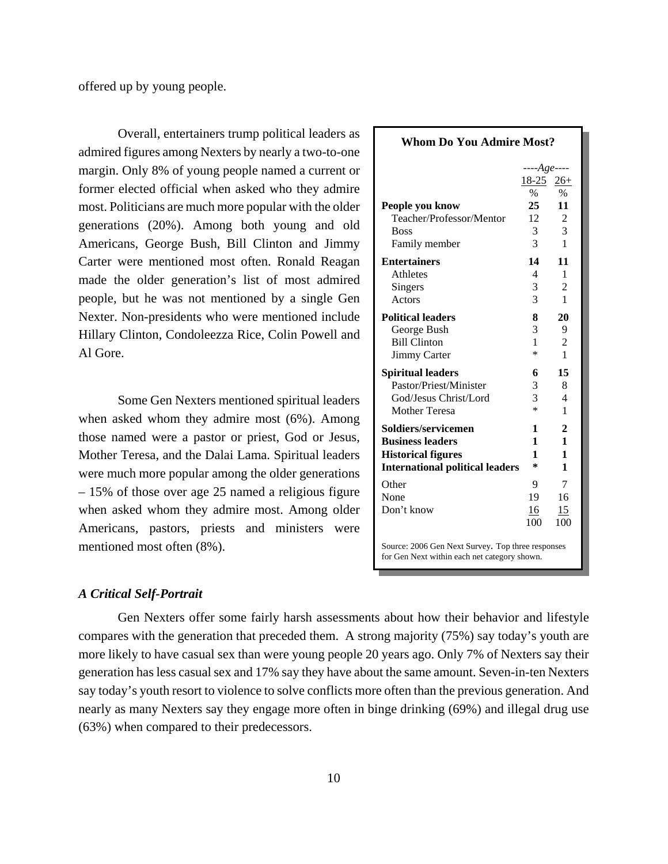offered up by young people.

Overall, entertainers trump political leaders as admired figures among Nexters by nearly a two-to-one margin. Only 8% of young people named a current or former elected official when asked who they admire most. Politicians are much more popular with the older generations (20%). Among both young and old Americans, George Bush, Bill Clinton and Jimmy Carter were mentioned most often. Ronald Reagan made the older generation's list of most admired people, but he was not mentioned by a single Gen Nexter. Non-presidents who were mentioned include Hillary Clinton, Condoleezza Rice, Colin Powell and Al Gore.

Some Gen Nexters mentioned spiritual leaders when asked whom they admire most (6%). Among those named were a pastor or priest, God or Jesus, Mother Teresa, and the Dalai Lama. Spiritual leaders were much more popular among the older generations – 15% of those over age 25 named a religious figure when asked whom they admire most. Among older Americans, pastors, priests and ministers were mentioned most often (8%).

# *A Critical Self-Portrait*

Gen Nexters offer some fairly harsh assessments about how their behavior and lifestyle compares with the generation that preceded them. A strong majority (75%) say today's youth are more likely to have casual sex than were young people 20 years ago. Only 7% of Nexters say their generation has less casual sex and 17% say they have about the same amount. Seven-in-ten Nexters say today's youth resort to violence to solve conflicts more often than the previous generation. And nearly as many Nexters say they engage more often in binge drinking (69%) and illegal drug use (63%) when compared to their predecessors.

#### **Whom Do You Admire Most?**

|                                                                                                   | ----Age----<br>$18-25$ 26+<br>$\%$ | $\frac{0}{0}$           |
|---------------------------------------------------------------------------------------------------|------------------------------------|-------------------------|
| People you know                                                                                   | 25                                 | 11                      |
| Teacher/Professor/Mentor                                                                          | 12                                 | $\overline{c}$          |
| <b>Boss</b>                                                                                       | 3                                  | 3                       |
| Family member                                                                                     | $\overline{3}$                     | $\mathbf{1}$            |
| <b>Entertainers</b>                                                                               | 14                                 | 11                      |
| <b>Athletes</b>                                                                                   | 4                                  | $\mathbf{1}$            |
| Singers                                                                                           | 3                                  | $\overline{c}$          |
| Actors                                                                                            | 3                                  | 1                       |
| <b>Political leaders</b>                                                                          | 8                                  | 20                      |
| George Bush                                                                                       | 3                                  | 9                       |
| <b>Bill Clinton</b>                                                                               | 1                                  | $\overline{\mathbf{c}}$ |
| <b>Jimmy Carter</b>                                                                               | *                                  | $\mathbf{1}$            |
| <b>Spiritual leaders</b>                                                                          | 6                                  | 15                      |
| Pastor/Priest/Minister                                                                            | 3                                  | 8                       |
| God/Jesus Christ/Lord                                                                             | 3                                  | $\overline{4}$          |
| <b>Mother Teresa</b>                                                                              | $\ast$                             | 1                       |
| Soldiers/servicemen                                                                               | 1                                  | 2                       |
| <b>Business leaders</b>                                                                           | 1                                  | 1                       |
| <b>Historical figures</b>                                                                         | 1                                  | 1                       |
| <b>International political leaders</b>                                                            | *                                  | 1                       |
| Other                                                                                             | 9                                  | 7                       |
| None                                                                                              | 19                                 | 16                      |
| Don't know                                                                                        | 16                                 | 15                      |
|                                                                                                   | 100                                | 100                     |
| Source: 2006 Gen Next Survey. Top three responses<br>for Gen Next within each net category shown. |                                    |                         |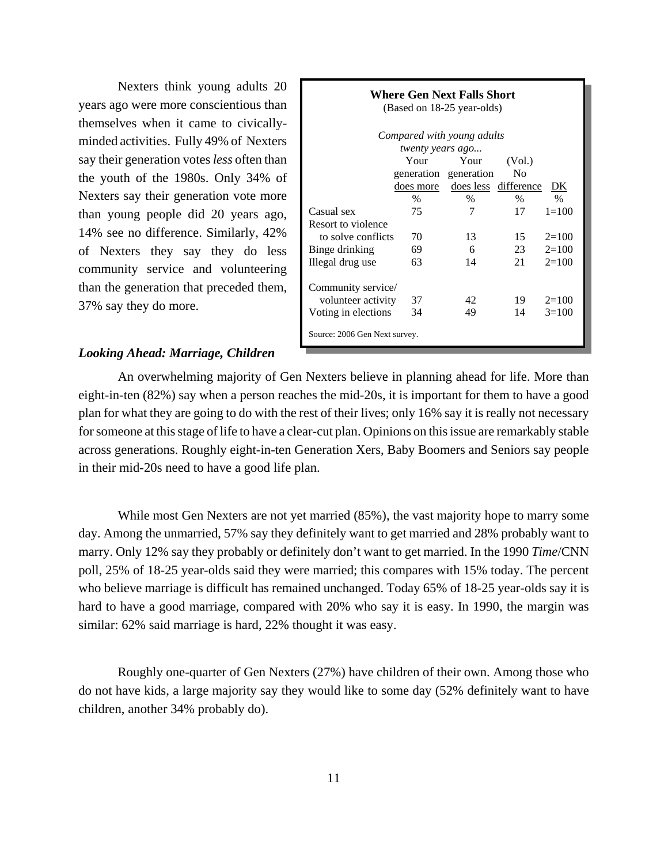Nexters think young adults 20 years ago were more conscientious than themselves when it came to civicallyminded activities. Fully 49% of Nexters say their generation votes *less* often than the youth of the 1980s. Only 34% of Nexters say their generation vote more than young people did 20 years ago, 14% see no difference. Similarly, 42% of Nexters they say they do less community service and volunteering than the generation that preceded them, 37% say they do more.

| <b>Where Gen Next Falls Short</b><br>(Based on 18-25 year-olds) |                         |                                |        |           |  |  |
|-----------------------------------------------------------------|-------------------------|--------------------------------|--------|-----------|--|--|
|                                                                 |                         | Compared with young adults     |        |           |  |  |
|                                                                 | <i>twenty years ago</i> |                                |        |           |  |  |
|                                                                 | Your                    | Your                           | (Vol.) |           |  |  |
|                                                                 |                         | generation generation          | No     |           |  |  |
|                                                                 |                         | does more does less difference |        | DK        |  |  |
|                                                                 | $\%$                    | $\%$                           | $\%$   | $\%$      |  |  |
| Casual sex                                                      | 75                      | 7                              | 17     | $1 = 100$ |  |  |
| Resort to violence                                              |                         |                                |        |           |  |  |
| to solve conflicts                                              | 70                      | 13                             | 15     | $2=100$   |  |  |
| Binge drinking                                                  | 69                      | 6                              | 23     | $2=100$   |  |  |
| Illegal drug use                                                | 63                      | 14                             | 21     | $2=100$   |  |  |
| Community service/                                              |                         |                                |        |           |  |  |
| volunteer activity                                              | 37                      | 42                             | 19     | $2=100$   |  |  |
| Voting in elections                                             | 34                      | 49                             | 14     | $3=100$   |  |  |
| Source: 2006 Gen Next survey.                                   |                         |                                |        |           |  |  |

#### *Looking Ahead: Marriage, Children*

An overwhelming majority of Gen Nexters believe in planning ahead for life. More than eight-in-ten (82%) say when a person reaches the mid-20s, it is important for them to have a good plan for what they are going to do with the rest of their lives; only 16% say it is really not necessary for someone at this stage of life to have a clear-cut plan. Opinions on this issue are remarkably stable across generations. Roughly eight-in-ten Generation Xers, Baby Boomers and Seniors say people in their mid-20s need to have a good life plan.

While most Gen Nexters are not yet married (85%), the vast majority hope to marry some day. Among the unmarried, 57% say they definitely want to get married and 28% probably want to marry. Only 12% say they probably or definitely don't want to get married. In the 1990 *Time*/CNN poll, 25% of 18-25 year-olds said they were married; this compares with 15% today. The percent who believe marriage is difficult has remained unchanged. Today 65% of 18-25 year-olds say it is hard to have a good marriage, compared with 20% who say it is easy. In 1990, the margin was similar: 62% said marriage is hard, 22% thought it was easy.

Roughly one-quarter of Gen Nexters (27%) have children of their own. Among those who do not have kids, a large majority say they would like to some day (52% definitely want to have children, another 34% probably do).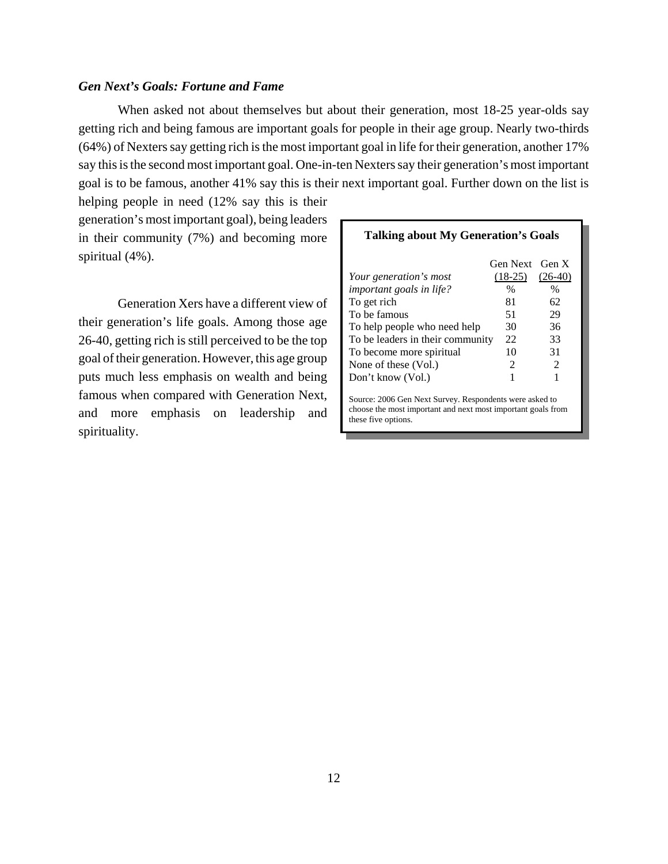#### *Gen Next's Goals: Fortune and Fame*

When asked not about themselves but about their generation, most 18-25 year-olds say getting rich and being famous are important goals for people in their age group. Nearly two-thirds (64%) of Nexters say getting rich is the most important goal in life for their generation, another 17% say this is the second most important goal. One-in-ten Nexters say their generation's most important goal is to be famous, another 41% say this is their next important goal. Further down on the list is

helping people in need (12% say this is their generation's most important goal), being leaders in their community (7%) and becoming more spiritual (4%).

Generation Xers have a different view of their generation's life goals. Among those age 26-40, getting rich is still perceived to be the top goal of their generation. However, this age group puts much less emphasis on wealth and being famous when compared with Generation Next, and more emphasis on leadership and spirituality.

| <b>Talking about My Generation's Goals</b>                                                                                                     |                |                |  |  |
|------------------------------------------------------------------------------------------------------------------------------------------------|----------------|----------------|--|--|
|                                                                                                                                                | Gen Next Gen X |                |  |  |
| Your generation's most                                                                                                                         | $(18-25)$      | $(26-40)$      |  |  |
| important goals in life?                                                                                                                       | $\%$           | %              |  |  |
| To get rich                                                                                                                                    | 81             | 62             |  |  |
| To be famous                                                                                                                                   | 51             | 29             |  |  |
| To help people who need help                                                                                                                   | 30             | 36             |  |  |
| To be leaders in their community                                                                                                               | 22             | 33             |  |  |
| To become more spiritual                                                                                                                       | 10             | 31             |  |  |
| None of these (Vol.)                                                                                                                           | 2              | $\mathfrak{D}$ |  |  |
| 1<br>Don't know (Vol.)                                                                                                                         |                |                |  |  |
| Source: 2006 Gen Next Survey. Respondents were asked to<br>choose the most important and next most important goals from<br>these five options. |                |                |  |  |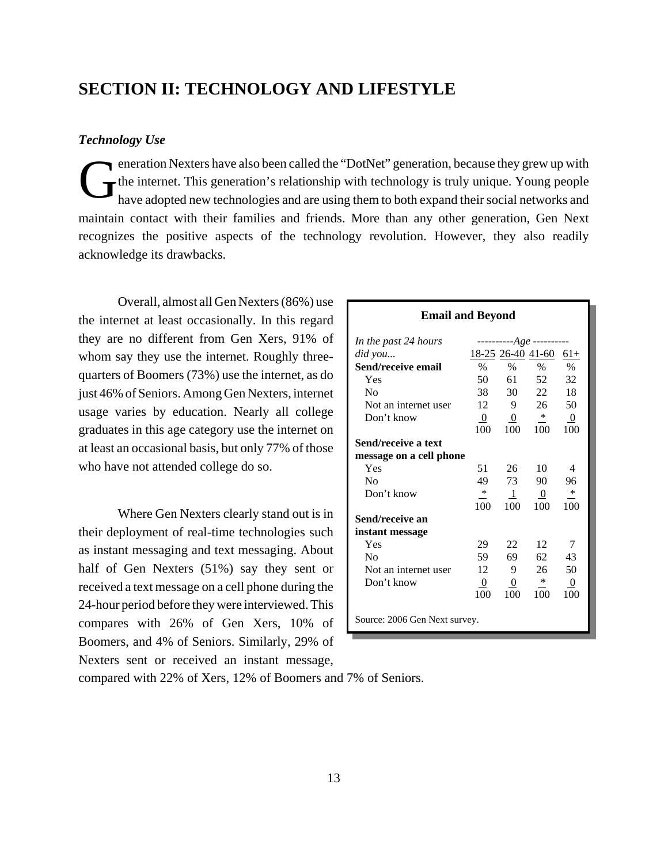# **SECTION II: TECHNOLOGY AND LIFESTYLE**

#### *Technology Use*

eneration Nexters have also been called the "DotNet" generation, because they grew up with<br>the internet. This generation's relationship with technology is truly unique. Young people<br>have adopted new technologies and are us the internet. This generation's relationship with technology is truly unique. Young people have adopted new technologies and are using them to both expand their social networks and maintain contact with their families and friends. More than any other generation, Gen Next recognizes the positive aspects of the technology revolution. However, they also readily acknowledge its drawbacks.

Overall, almost all Gen Nexters (86%) use the internet at least occasionally. In this regard they are no different from Gen Xers, 91% of whom say they use the internet. Roughly threequarters of Boomers (73%) use the internet, as do just 46% of Seniors. Among Gen Nexters, internet usage varies by education. Nearly all college graduates in this age category use the internet on at least an occasional basis, but only 77% of those who have not attended college do so.

Where Gen Nexters clearly stand out is in their deployment of real-time technologies such as instant messaging and text messaging. About half of Gen Nexters (51%) say they sent or received a text message on a cell phone during the 24-hour period before they were interviewed. This compares with 26% of Gen Xers, 10% of Boomers, and 4% of Seniors. Similarly, 29% of Nexters sent or received an instant message,

| <b>Email and Beyond</b>                      |                |                   |          |                  |  |  |
|----------------------------------------------|----------------|-------------------|----------|------------------|--|--|
| In the past 24 hours<br>-----------Age ----- |                |                   |          |                  |  |  |
| did you                                      |                | 18-25 26-40 41-60 |          | $61+$            |  |  |
| Send/receive email                           | $\%$           | $\%$              | $\%$     | $\%$             |  |  |
| Yes                                          | 50             | 61                | 52       | 32               |  |  |
| No                                           | 38             | 30                | 22       | 18               |  |  |
| Not an internet user                         | 12             | 9                 | 26       | 50               |  |  |
| Don't know                                   | $\overline{0}$ | $\overline{0}$    | *        | $\boldsymbol{0}$ |  |  |
|                                              | 100            | 100               | 100      | 100              |  |  |
| Send/receive a text                          |                |                   |          |                  |  |  |
| message on a cell phone                      |                |                   |          |                  |  |  |
| Yes                                          | 51             | 26                | 10       | 4                |  |  |
| $\rm No$                                     | 49             | 73                | 90       | 96               |  |  |
| Don't know                                   | *              | -1                | $\bf{0}$ | *                |  |  |
|                                              | 100            | 100               | 100      | 100              |  |  |
| Send/receive an                              |                |                   |          |                  |  |  |
| instant message                              |                |                   |          |                  |  |  |
| Yes                                          | 29             | 22                | 12       | 7                |  |  |
| $\rm No$                                     | 59             | 69                | 62       | 43               |  |  |
| Not an internet user                         | 12             | 9                 | 26       | 50               |  |  |
| Don't know                                   | $\overline{0}$ | $\overline{0}$    | *        | $\boldsymbol{0}$ |  |  |
|                                              | 100            | 100               | 100      | 100              |  |  |
| Source: 2006 Gen Next survey.                |                |                   |          |                  |  |  |

compared with 22% of Xers, 12% of Boomers and 7% of Seniors.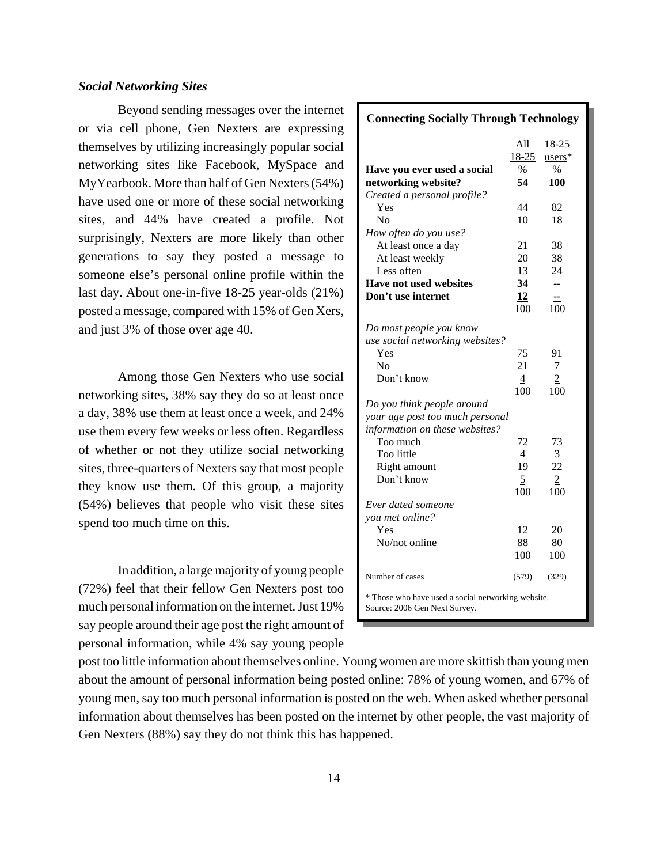#### *Social Networking Sites*

Beyond sending messages over the internet or via cell phone, Gen Nexters are expressing themselves by utilizing increasingly popular social networking sites like Facebook, MySpace and MyYearbook. More than half of Gen Nexters (54%) have used one or more of these social networking sites, and 44% have created a profile. Not surprisingly, Nexters are more likely than other generations to say they posted a message to someone else's personal online profile within the last day. About one-in-five 18-25 year-olds (21%) posted a message, compared with 15% of Gen Xers, and just 3% of those over age 40.

Among those Gen Nexters who use social networking sites, 38% say they do so at least once a day, 38% use them at least once a week, and 24% use them every few weeks or less often. Regardless of whether or not they utilize social networking sites, three-quarters of Nexters say that most people they know use them. Of this group, a majority (54%) believes that people who visit these sites spend too much time on this.

In addition, a large majority of young people (72%) feel that their fellow Gen Nexters post too much personal information on the internet. Just 19% say people around their age post the right amount of personal information, while 4% say young people

| <b>Connecting Socially Through Technology</b>                                       |                |                |  |  |
|-------------------------------------------------------------------------------------|----------------|----------------|--|--|
|                                                                                     | A11            | 18-25          |  |  |
|                                                                                     | 18-25          | $users*$       |  |  |
| Have you ever used a social                                                         | $\%$           | $\frac{0}{0}$  |  |  |
| networking website?                                                                 | 54             | 100            |  |  |
| Created a personal profile?                                                         |                |                |  |  |
| Yes                                                                                 | 44             | 82             |  |  |
| N <sub>o</sub>                                                                      | 10             | 18             |  |  |
| How often do you use?                                                               |                |                |  |  |
| At least once a day                                                                 | 21             | 38             |  |  |
| At least weekly                                                                     | 20             | 38             |  |  |
| Less often                                                                          | 13             | 24             |  |  |
| <b>Have not used websites</b>                                                       | 34             |                |  |  |
| Don't use internet                                                                  | 12             | -−             |  |  |
|                                                                                     | 100            | 100            |  |  |
|                                                                                     |                |                |  |  |
| Do most people you know                                                             |                |                |  |  |
| use social networking websites?                                                     |                |                |  |  |
| Yes                                                                                 | 75             | 91             |  |  |
| N <sub>0</sub>                                                                      | 21             | 7              |  |  |
| Don't know                                                                          | 4              | $\overline{2}$ |  |  |
|                                                                                     | 100            | 100            |  |  |
| Do you think people around                                                          |                |                |  |  |
| your age post too much personal                                                     |                |                |  |  |
| information on these websites?                                                      |                |                |  |  |
| Too much                                                                            | 72             | 73             |  |  |
| Too little                                                                          | $\overline{4}$ | 3              |  |  |
| Right amount                                                                        | 19             | 22             |  |  |
| Don't know                                                                          | $\overline{5}$ | $\overline{2}$ |  |  |
|                                                                                     | 100            | 100            |  |  |
| Ever dated someone                                                                  |                |                |  |  |
| you met online?                                                                     |                |                |  |  |
| Yes                                                                                 | 12             | 20             |  |  |
| No/not online                                                                       | 88             | 80             |  |  |
|                                                                                     | 100            | 100            |  |  |
| Number of cases                                                                     | (579)          | (329)          |  |  |
| * Those who have used a social networking website.<br>Source: 2006 Gen Next Survey. |                |                |  |  |

post too little information about themselves online. Young women are more skittish than young men about the amount of personal information being posted online: 78% of young women, and 67% of young men, say too much personal information is posted on the web. When asked whether personal information about themselves has been posted on the internet by other people, the vast majority of Gen Nexters (88%) say they do not think this has happened.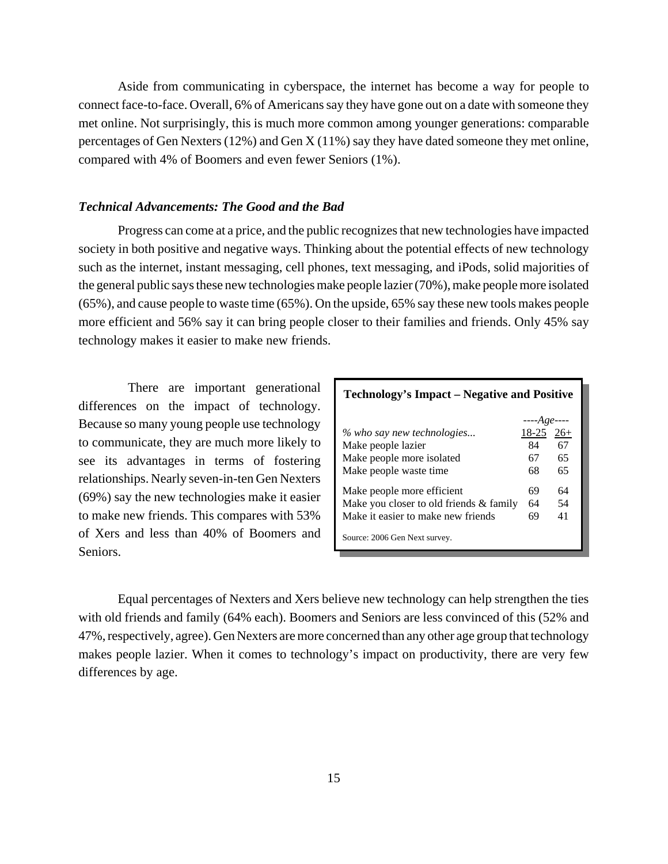Aside from communicating in cyberspace, the internet has become a way for people to connect face-to-face. Overall, 6% of Americans say they have gone out on a date with someone they met online. Not surprisingly, this is much more common among younger generations: comparable percentages of Gen Nexters (12%) and Gen X (11%) say they have dated someone they met online, compared with 4% of Boomers and even fewer Seniors (1%).

### *Technical Advancements: The Good and the Bad*

Progress can come at a price, and the public recognizes that new technologies have impacted society in both positive and negative ways. Thinking about the potential effects of new technology such as the internet, instant messaging, cell phones, text messaging, and iPods, solid majorities of the general public says these new technologies make people lazier (70%), make people more isolated (65%), and cause people to waste time (65%). On the upside, 65% say these new tools makes people more efficient and 56% say it can bring people closer to their families and friends. Only 45% say technology makes it easier to make new friends.

 There are important generational differences on the impact of technology. Because so many young people use technology to communicate, they are much more likely to see its advantages in terms of fostering relationships. Nearly seven-in-ten Gen Nexters (69%) say the new technologies make it easier to make new friends. This compares with 53% of Xers and less than 40% of Boomers and Seniors.

| <b>Technology's Impact – Negative and Positive</b> |                              |    |  |  |  |
|----------------------------------------------------|------------------------------|----|--|--|--|
| % who say new technologies                         | $---Age---$<br>$18-25$ $26+$ |    |  |  |  |
| Make people lazier                                 | 84                           | 67 |  |  |  |
| Make people more isolated                          | 67                           | 65 |  |  |  |
| Make people waste time.                            | 68                           | 65 |  |  |  |
| Make people more efficient                         | 69                           | 64 |  |  |  |
| Make you closer to old friends & family            | 64                           | 54 |  |  |  |
| Make it easier to make new friends                 | 69                           | 41 |  |  |  |
| Source: 2006 Gen Next survey.                      |                              |    |  |  |  |

Equal percentages of Nexters and Xers believe new technology can help strengthen the ties with old friends and family (64% each). Boomers and Seniors are less convinced of this (52% and 47%, respectively, agree). Gen Nexters are more concerned than any other age group that technology makes people lazier. When it comes to technology's impact on productivity, there are very few differences by age.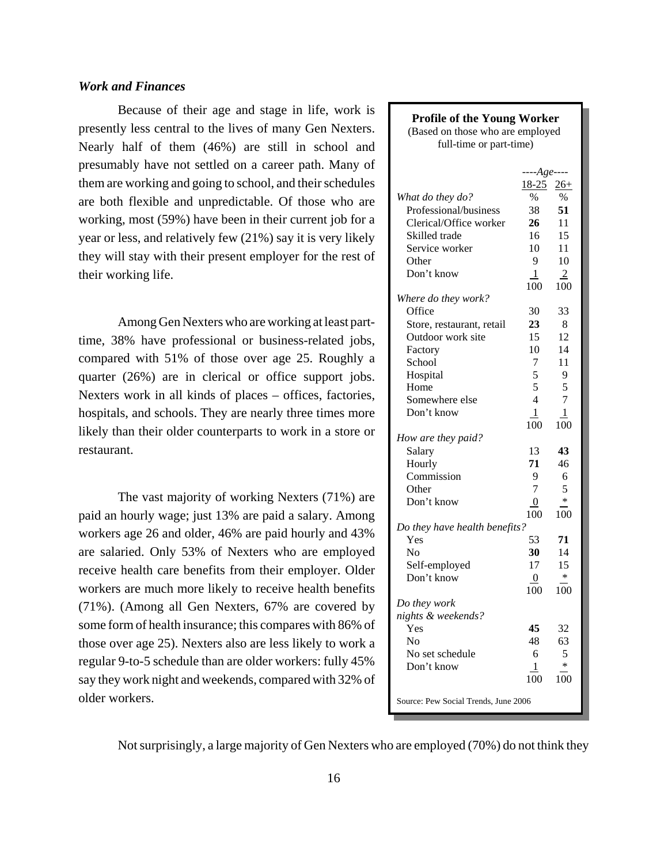### *Work and Finances*

Because of their age and stage in life, work is presently less central to the lives of many Gen Nexters. Nearly half of them (46%) are still in school and presumably have not settled on a career path. Many of them are working and going to school, and their schedules are both flexible and unpredictable. Of those who are working, most (59%) have been in their current job for a year or less, and relatively few (21%) say it is very likely they will stay with their present employer for the rest of their working life.

Among Gen Nexters who are working at least parttime, 38% have professional or business-related jobs, compared with 51% of those over age 25. Roughly a quarter (26%) are in clerical or office support jobs. Nexters work in all kinds of places – offices, factories, hospitals, and schools. They are nearly three times more likely than their older counterparts to work in a store or restaurant.

The vast majority of working Nexters (71%) are paid an hourly wage; just 13% are paid a salary. Among workers age 26 and older, 46% are paid hourly and 43% are salaried. Only 53% of Nexters who are employed receive health care benefits from their employer. Older workers are much more likely to receive health benefits (71%). (Among all Gen Nexters, 67% are covered by some form of health insurance; this compares with 86% of those over age 25). Nexters also are less likely to work a regular 9-to-5 schedule than are older workers: fully 45% say they work night and weekends, compared with 32% of older workers.

#### **Profile of the Young Worker**

(Based on those who are employed full-time or part-time)

|                                      | $---Age---$              |                |
|--------------------------------------|--------------------------|----------------|
|                                      | $18-25$                  | $26+$          |
| What do they do?                     | $\frac{0}{0}$            | $\frac{0}{0}$  |
| Professional/business                | 38                       | 51             |
| Clerical/Office worker               | 26                       | 11             |
| Skilled trade                        | 16                       | 15             |
| Service worker                       | 10                       | 11             |
| Other                                | 9                        | 10             |
| Don't know                           | 1                        | $\sqrt{2}$     |
|                                      | 100                      | 100            |
| Where do they work?                  |                          |                |
| Office                               | 30                       | 33             |
| Store, restaurant, retail            | 23                       | 8              |
| Outdoor work site                    | 15                       | 12             |
| Factory                              | 10                       | 14             |
| School                               | 7                        | 11             |
| Hospital                             | 5                        | 9              |
| Home                                 | 5                        | 5              |
| Somewhere else                       | $\overline{\mathcal{L}}$ | $\overline{7}$ |
| Don't know                           | -1                       | 1              |
|                                      | 100                      | 100            |
| How are they paid?                   |                          |                |
| Salary                               | 13                       | 43             |
| Hourly                               | 71                       | 46             |
| Commission                           | 9                        | 6              |
| Other                                | $\overline{7}$           | 5              |
| Don't know                           | $\boldsymbol{0}$         | $\ast$         |
|                                      | 100                      | 100            |
| Do they have health benefits?        |                          |                |
| Yes                                  | 53                       | 71             |
| N <sub>o</sub>                       | 30                       | 14             |
| Self-employed                        | 17                       | 15             |
| Don't know                           | $\overline{0}$           | $\ast$         |
|                                      | 100                      | 100            |
| Do they work                         |                          |                |
| nights & weekends?                   |                          |                |
| Yes                                  | 45                       | 32             |
| N <sub>o</sub>                       | 48                       | 63             |
| No set schedule                      | 6                        | 5              |
| Don't know                           | -1                       | $\ast$         |
|                                      | 100                      | 100            |
|                                      |                          |                |
| Source: Pew Social Trends, June 2006 |                          |                |

Not surprisingly, a large majority of Gen Nexters who are employed (70%) do not think they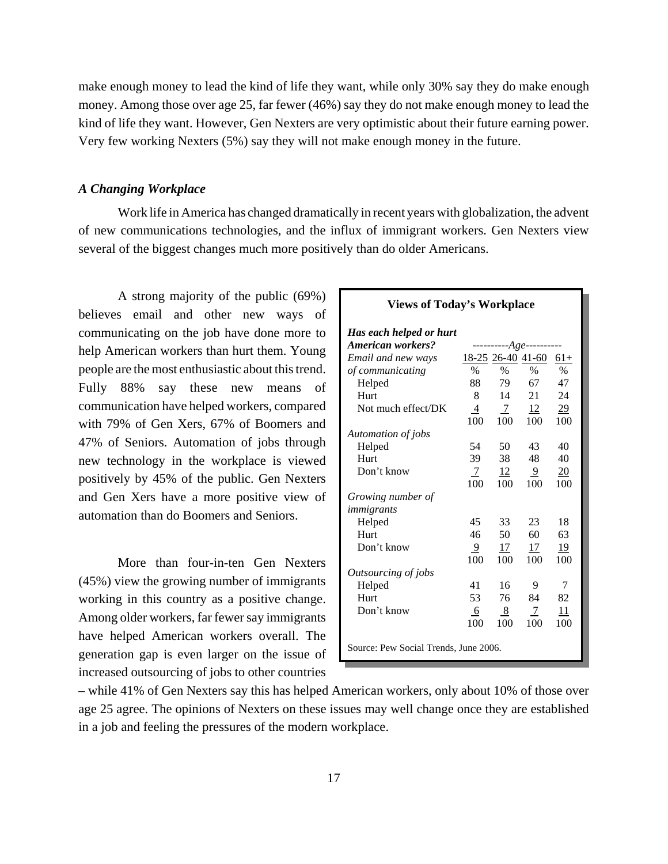make enough money to lead the kind of life they want, while only 30% say they do make enough money. Among those over age 25, far fewer (46%) say they do not make enough money to lead the kind of life they want. However, Gen Nexters are very optimistic about their future earning power. Very few working Nexters (5%) say they will not make enough money in the future.

#### *A Changing Workplace*

Work life in America has changed dramatically in recent years with globalization, the advent of new communications technologies, and the influx of immigrant workers. Gen Nexters view several of the biggest changes much more positively than do older Americans.

A strong majority of the public (69%) believes email and other new ways of communicating on the job have done more to help American workers than hurt them. Young people are the most enthusiastic about this trend. Fully 88% say these new means of communication have helped workers, compared with 79% of Gen Xers, 67% of Boomers and 47% of Seniors. Automation of jobs through new technology in the workplace is viewed positively by 45% of the public. Gen Nexters and Gen Xers have a more positive view of automation than do Boomers and Seniors.

More than four-in-ten Gen Nexters (45%) view the growing number of immigrants working in this country as a positive change. Among older workers, far fewer say immigrants have helped American workers overall. The generation gap is even larger on the issue of increased outsourcing of jobs to other countries

| VIEWS UL LUUAY S IVULKPIACE           |                |                |                         |                  |  |  |
|---------------------------------------|----------------|----------------|-------------------------|------------------|--|--|
| Has each helped or hurt               |                |                |                         |                  |  |  |
| <b>American workers?</b>              |                |                | ----------Age---------- |                  |  |  |
| Email and new ways                    |                |                | 18-25 26-40 41-60       | $61+$            |  |  |
| of communicating                      | $\frac{0}{0}$  | $\%$           | $\frac{0}{0}$           | $\%$             |  |  |
| Helped                                | 88             | 79             | 67                      | 47               |  |  |
| Hurt                                  | 8              | 14             | 21                      | 24               |  |  |
| Not much effect/DK                    | $\overline{4}$ | $\overline{7}$ | <u>12</u>               | $\underline{29}$ |  |  |
|                                       | 100            | 100            | 100                     | 100              |  |  |
| Automation of jobs                    |                |                |                         |                  |  |  |
| Helped                                | 54             | 50             | 43                      | 40               |  |  |
| Hurt                                  | 39             | 38             | 48                      | 40               |  |  |
| Don't know                            | 7              | 12             | $\overline{9}$          | $\underline{20}$ |  |  |
|                                       | 100            | 100            | 100                     | 100              |  |  |
| Growing number of                     |                |                |                         |                  |  |  |
| immigrants                            |                |                |                         |                  |  |  |
| Helped                                | 45             | 33             | 23                      | 18               |  |  |
| Hurt                                  | 46             | 50             | 60                      | 63               |  |  |
| Don't know                            | $\overline{9}$ | 17             | 17                      | 19               |  |  |
|                                       | 100            | 100            | 100                     | 100              |  |  |
| Outsourcing of jobs                   |                |                |                         |                  |  |  |
| Helped                                | 41             | 16             | 9                       | 7                |  |  |
| Hurt                                  | 53             | 76             | 84                      | 82               |  |  |
| Don't know                            | 6              | 8              | $\overline{1}$          | 11               |  |  |
|                                       | 100            | 100            | 100                     | 100              |  |  |
| Source: Pew Social Trends, June 2006. |                |                |                         |                  |  |  |

 $V^*$  and  $V^*$ **F**  $\rightarrow$  **J**  $\rightarrow$   $\rightarrow$  **W** $\rightarrow$   $\rightarrow$  **W** 

– while 41% of Gen Nexters say this has helped American workers, only about 10% of those over age 25 agree. The opinions of Nexters on these issues may well change once they are established in a job and feeling the pressures of the modern workplace.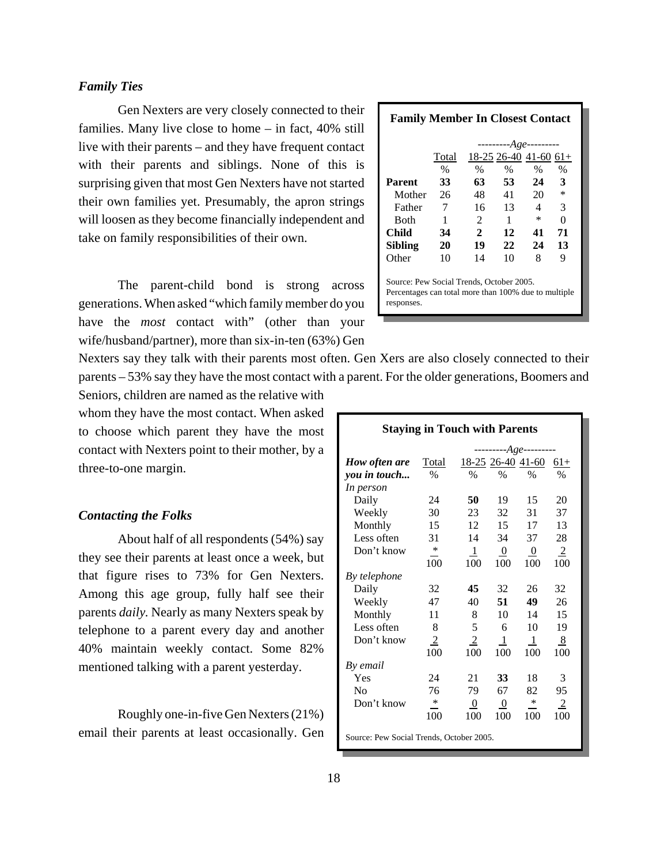### *Family Ties*

Gen Nexters are very closely connected to their families. Many live close to home – in fact, 40% still live with their parents – and they have frequent contact with their parents and siblings. None of this is surprising given that most Gen Nexters have not started their own families yet. Presumably, the apron strings will loosen as they become financially independent and take on family responsibilities of their own.

The parent-child bond is strong across generations. When asked "which family member do you have the *most* contact with" (other than your wife/husband/partner), more than six-in-ten (63%) Gen

Nexters say they talk with their parents most often. Gen Xers are also closely connected to their parents – 53% say they have the most contact with a parent. For the older generations, Boomers and

Seniors, children are named as the relative with whom they have the most contact. When asked to choose which parent they have the most contact with Nexters point to their mother, by a three-to-one margin.

#### *Contacting the Folks*

About half of all respondents (54%) say they see their parents at least once a week, but that figure rises to 73% for Gen Nexters. Among this age group, fully half see their parents *daily.* Nearly as many Nexters speak by telephone to a parent every day and another 40% maintain weekly contact. Some 82% mentioned talking with a parent yesterday.

Roughly one-in-five Gen Nexters (21%) email their parents at least occasionally. Gen

|                                                                                                  | Total         |                | $18-25$ 26-40 41-60 61+ |                |      |
|--------------------------------------------------------------------------------------------------|---------------|----------------|-------------------------|----------------|------|
|                                                                                                  | $\frac{0}{0}$ | $\%$           | $\%$                    | $\%$           | $\%$ |
| <b>Parent</b>                                                                                    | 33            | 63             | 53                      | 24             | 3    |
| Mother                                                                                           | 26            | 48             | 41                      | 20             | *    |
| Father                                                                                           | 7             | 16             | 13                      | $\overline{4}$ | 3    |
| <b>Both</b>                                                                                      | 1             | $\overline{2}$ | 1                       | $\ast$         | 0    |
| Child                                                                                            | 34            | $\mathbf{2}$   | 12                      | 41             | 71   |
| Sibling                                                                                          | 20            | 19             | 22                      | 24             | 13   |
| Other                                                                                            | 10            | 14             | 10                      | 8              | 9    |
| Source: Pew Social Trends, October 2005.<br>Percentages can total more than 100% due to multiple |               |                |                         |                |      |

**Family Member In Closest Contact**

| <b>Staying in Touch with Parents</b>     |                |                |                  |                        |                |
|------------------------------------------|----------------|----------------|------------------|------------------------|----------------|
|                                          |                |                |                  | ----------Age--------- |                |
| How often are                            | <u>Total</u>   |                |                  | 18-25 26-40 41-60      | <u>61+</u>     |
| you in touch                             | $\%$           | $\%$           | $\frac{0}{0}$    | $\frac{0}{0}$          | $\frac{0}{0}$  |
| In person                                |                |                |                  |                        |                |
| Daily                                    | 24             | 50             | 19               | 15                     | 20             |
| Weekly                                   | 30             | 23             | 32               | 31                     | 37             |
| Monthly                                  | 15             | 12             | 15               | 17                     | 13             |
| Less often                               | 31             | 14             | 34               | 37                     | 28             |
| Don't know                               | *              | -1             | $\overline{0}$   | $\overline{0}$         | 2              |
|                                          | 100            | 100            | 100              | 100                    | 100            |
| By telephone                             |                |                |                  |                        |                |
| Daily                                    | 32             | 45             | 32               | 26                     | 32             |
| Weekly                                   | 47             | 40             | 51               | 49                     | 26             |
| Monthly                                  | 11             | 8              | 10               | 14                     | 15             |
| Less often                               | 8              | 5              | 6                | 10                     | 19             |
| Don't know                               | $\overline{2}$ | $\sqrt{2}$     | $\mathbf{1}$     | -1                     | 8              |
|                                          | 100            | 100            | 100              | 100                    | 100            |
| By email                                 |                |                |                  |                        |                |
| Yes                                      | 24             | 21             | 33               | 18                     | 3              |
| No                                       | 76             | 79             | 67               | 82                     | 95             |
| Don't know                               | ∗              | $\overline{0}$ | $\boldsymbol{0}$ | *                      | $\overline{2}$ |
|                                          | 100            | 100            | 100              | 100                    | 100            |
| Source: Pew Social Trends, October 2005. |                |                |                  |                        |                |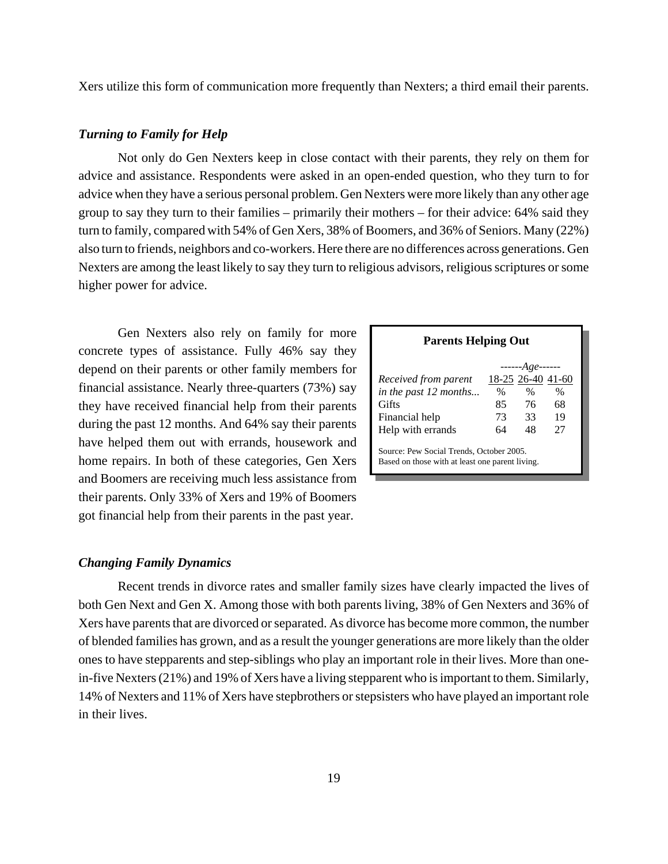Xers utilize this form of communication more frequently than Nexters; a third email their parents.

## *Turning to Family for Help*

Not only do Gen Nexters keep in close contact with their parents, they rely on them for advice and assistance. Respondents were asked in an open-ended question, who they turn to for advice when they have a serious personal problem. Gen Nexters were more likely than any other age group to say they turn to their families – primarily their mothers – for their advice: 64% said they turn to family, compared with 54% of Gen Xers, 38% of Boomers, and 36% of Seniors. Many (22%) also turn to friends, neighbors and co-workers. Here there are no differences across generations. Gen Nexters are among the least likely to say they turn to religious advisors, religious scriptures or some higher power for advice.

Gen Nexters also rely on family for more concrete types of assistance. Fully 46% say they depend on their parents or other family members for financial assistance. Nearly three-quarters (73%) say they have received financial help from their parents during the past 12 months. And 64% say their parents have helped them out with errands, housework and home repairs. In both of these categories, Gen Xers and Boomers are receiving much less assistance from their parents. Only 33% of Xers and 19% of Boomers got financial help from their parents in the past year.

|                                                                                             | $---Age---$ |                   |    |  |  |  |  |
|---------------------------------------------------------------------------------------------|-------------|-------------------|----|--|--|--|--|
| Received from parent                                                                        |             | 18-25 26-40 41-60 |    |  |  |  |  |
| in the past 12 months                                                                       | $\%$        | %                 | %  |  |  |  |  |
| Gifts                                                                                       | 85          | 76                | 68 |  |  |  |  |
| Financial help                                                                              | 73          | 33                | 19 |  |  |  |  |
| Help with errands                                                                           | 64          | 48                | 27 |  |  |  |  |
| Source: Pew Social Trends, October 2005.<br>Based on those with at least one parent living. |             |                   |    |  |  |  |  |

#### *Changing Family Dynamics*

Recent trends in divorce rates and smaller family sizes have clearly impacted the lives of both Gen Next and Gen X. Among those with both parents living, 38% of Gen Nexters and 36% of Xers have parents that are divorced or separated. As divorce has become more common, the number of blended families has grown, and as a result the younger generations are more likely than the older ones to have stepparents and step-siblings who play an important role in their lives. More than onein-five Nexters (21%) and 19% of Xers have a living stepparent who is important to them. Similarly, 14% of Nexters and 11% of Xers have stepbrothers or stepsisters who have played an important role in their lives.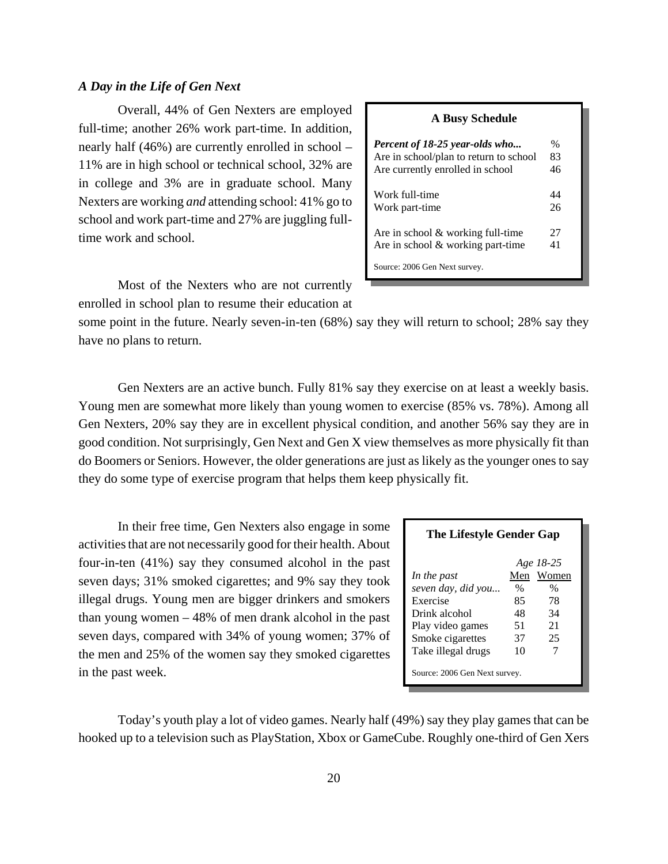# *A Day in the Life of Gen Next*

Overall, 44% of Gen Nexters are employed full-time; another 26% work part-time. In addition, nearly half (46%) are currently enrolled in school – 11% are in high school or technical school, 32% are in college and 3% are in graduate school. Many Nexters are working *and* attending school: 41% go to school and work part-time and 27% are juggling fulltime work and school.

Most of the Nexters who are not currently enrolled in school plan to resume their education at

| <b>Percent of 18-25 year-olds who</b><br>Are in school/plan to return to school<br>Are currently enrolled in school | $\%$<br>83<br>46 |
|---------------------------------------------------------------------------------------------------------------------|------------------|
|                                                                                                                     |                  |
| Work full-time                                                                                                      | 44               |
| Work part-time                                                                                                      | 26               |
| Are in school $&$ working full-time                                                                                 | 27               |
| Are in school $&$ working part-time                                                                                 | 41               |
| Source: 2006 Gen Next survey.                                                                                       |                  |

**A Busy Schedule**

some point in the future. Nearly seven-in-ten (68%) say they will return to school; 28% say they have no plans to return.

Gen Nexters are an active bunch. Fully 81% say they exercise on at least a weekly basis. Young men are somewhat more likely than young women to exercise (85% vs. 78%). Among all Gen Nexters, 20% say they are in excellent physical condition, and another 56% say they are in good condition. Not surprisingly, Gen Next and Gen X view themselves as more physically fit than do Boomers or Seniors. However, the older generations are just as likely as the younger ones to say they do some type of exercise program that helps them keep physically fit.

In their free time, Gen Nexters also engage in some activities that are not necessarily good for their health. About four-in-ten (41%) say they consumed alcohol in the past seven days; 31% smoked cigarettes; and 9% say they took illegal drugs. Young men are bigger drinkers and smokers than young women – 48% of men drank alcohol in the past seven days, compared with 34% of young women; 37% of the men and 25% of the women say they smoked cigarettes in the past week.

| The Lifestyle Gender Gap      |      |           |  |  |  |
|-------------------------------|------|-----------|--|--|--|
|                               |      | Age 18-25 |  |  |  |
| In the past                   | Men  | Women     |  |  |  |
| seven day, did you            | $\%$ | $\%$      |  |  |  |
| Exercise                      | 85   | 78        |  |  |  |
| Drink alcohol                 | 48   | 34        |  |  |  |
| Play video games              | 51   | 21        |  |  |  |
| Smoke cigarettes              | 37   | 25        |  |  |  |
| Take illegal drugs            | 10   | 7         |  |  |  |
| Source: 2006 Gen Next survey. |      |           |  |  |  |

Today's youth play a lot of video games. Nearly half (49%) say they play games that can be hooked up to a television such as PlayStation, Xbox or GameCube. Roughly one-third of Gen Xers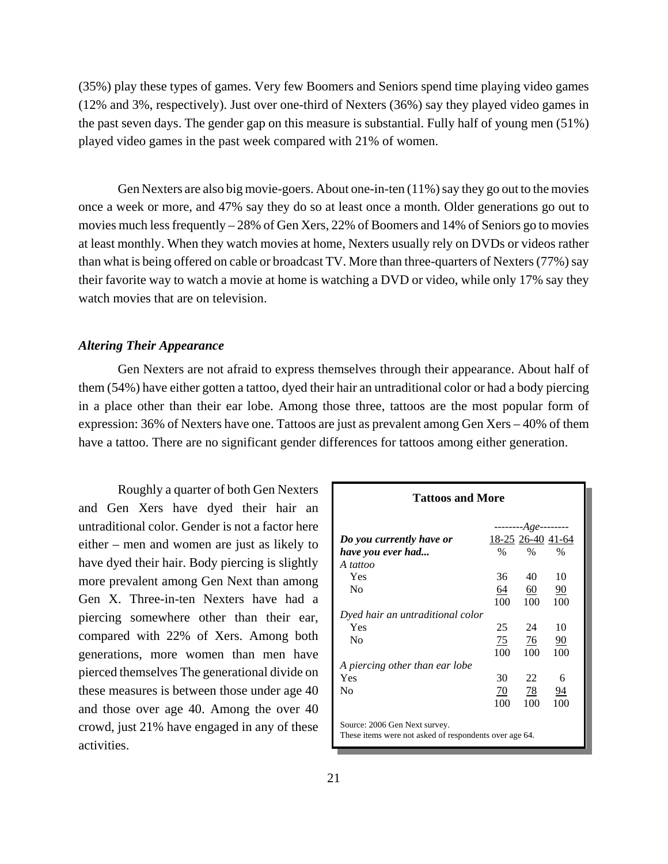(35%) play these types of games. Very few Boomers and Seniors spend time playing video games (12% and 3%, respectively). Just over one-third of Nexters (36%) say they played video games in the past seven days. The gender gap on this measure is substantial. Fully half of young men (51%) played video games in the past week compared with 21% of women.

Gen Nexters are also big movie-goers. About one-in-ten (11%) say they go out to the movies once a week or more, and 47% say they do so at least once a month. Older generations go out to movies much less frequently – 28% of Gen Xers, 22% of Boomers and 14% of Seniors go to movies at least monthly. When they watch movies at home, Nexters usually rely on DVDs or videos rather than what is being offered on cable or broadcast TV. More than three-quarters of Nexters (77%) say their favorite way to watch a movie at home is watching a DVD or video, while only 17% say they watch movies that are on television.

#### *Altering Their Appearance*

Gen Nexters are not afraid to express themselves through their appearance. About half of them (54%) have either gotten a tattoo, dyed their hair an untraditional color or had a body piercing in a place other than their ear lobe. Among those three, tattoos are the most popular form of expression: 36% of Nexters have one. Tattoos are just as prevalent among Gen Xers – 40% of them have a tattoo. There are no significant gender differences for tattoos among either generation.

Roughly a quarter of both Gen Nexters and Gen Xers have dyed their hair an untraditional color. Gender is not a factor here either – men and women are just as likely to have dyed their hair. Body piercing is slightly more prevalent among Gen Next than among Gen X. Three-in-ten Nexters have had a piercing somewhere other than their ear, compared with 22% of Xers. Among both generations, more women than men have pierced themselves The generational divide on these measures is between those under age 40 and those over age 40. Among the over 40 crowd, just 21% have engaged in any of these activities.

| <b>Tattoos and More</b>                                                                 |                |                      |           |  |  |
|-----------------------------------------------------------------------------------------|----------------|----------------------|-----------|--|--|
|                                                                                         |                | ---------Age-------- |           |  |  |
| Do you currently have or                                                                |                | 18-25 26-40 41-64    |           |  |  |
| have you ever had                                                                       | $\%$           | $\frac{0}{0}$        | $\%$      |  |  |
| A tattoo                                                                                |                |                      |           |  |  |
| Yes                                                                                     | 36             | 40                   | 10        |  |  |
| N <sub>0</sub>                                                                          | <u>64</u>      | <u>60</u>            | <u>90</u> |  |  |
|                                                                                         | 100            | 100                  | 100       |  |  |
| Dyed hair an untraditional color                                                        |                |                      |           |  |  |
| Yes                                                                                     | 25             | 24                   | 10        |  |  |
| N <sub>0</sub>                                                                          | 75             | <u>76</u>            | 90        |  |  |
|                                                                                         | 100            | 100                  | 100       |  |  |
| A piercing other than ear lobe                                                          |                |                      |           |  |  |
| Yes                                                                                     | 30             | 22                   | 6         |  |  |
| N <sub>0</sub>                                                                          | $\frac{70}{2}$ | <u>78</u>            | <u>94</u> |  |  |
|                                                                                         | 100            | 100                  | 100       |  |  |
| Source: 2006 Gen Next survey.<br>These items were not asked of respondents over age 64. |                |                      |           |  |  |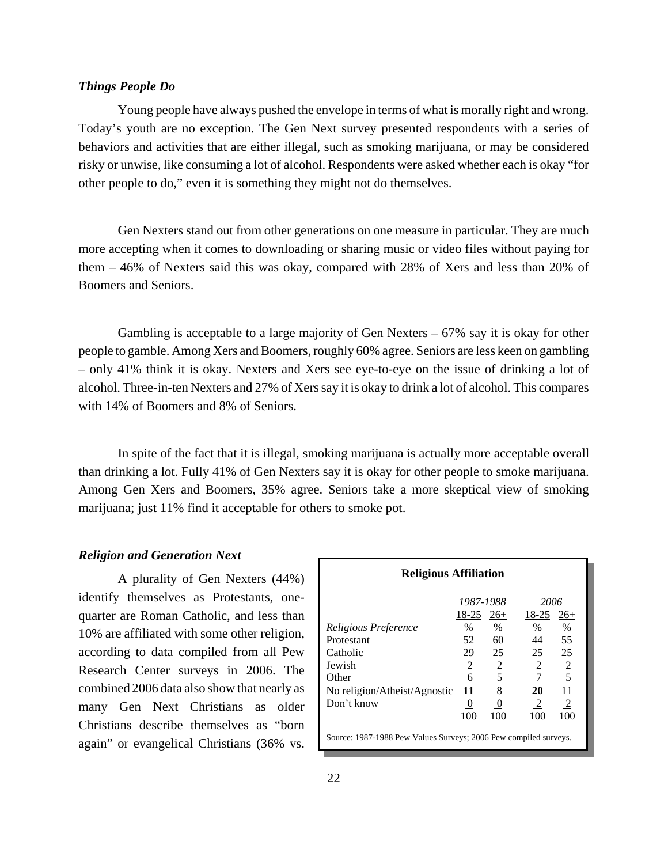## *Things People Do*

Young people have always pushed the envelope in terms of what is morally right and wrong. Today's youth are no exception. The Gen Next survey presented respondents with a series of behaviors and activities that are either illegal, such as smoking marijuana, or may be considered risky or unwise, like consuming a lot of alcohol. Respondents were asked whether each is okay "for other people to do," even it is something they might not do themselves.

Gen Nexters stand out from other generations on one measure in particular. They are much more accepting when it comes to downloading or sharing music or video files without paying for them – 46% of Nexters said this was okay, compared with 28% of Xers and less than 20% of Boomers and Seniors.

Gambling is acceptable to a large majority of Gen Nexters – 67% say it is okay for other people to gamble. Among Xers and Boomers, roughly 60% agree. Seniors are less keen on gambling – only 41% think it is okay. Nexters and Xers see eye-to-eye on the issue of drinking a lot of alcohol. Three-in-ten Nexters and 27% of Xers say it is okay to drink a lot of alcohol. This compares with 14% of Boomers and 8% of Seniors.

In spite of the fact that it is illegal, smoking marijuana is actually more acceptable overall than drinking a lot. Fully 41% of Gen Nexters say it is okay for other people to smoke marijuana. Among Gen Xers and Boomers, 35% agree. Seniors take a more skeptical view of smoking marijuana; just 11% find it acceptable for others to smoke pot.

# *Religion and Generation Next*

A plurality of Gen Nexters (44%) identify themselves as Protestants, onequarter are Roman Catholic, and less than 10% are affiliated with some other religion, according to data compiled from all Pew Research Center surveys in 2006. The combined 2006 data also show that nearly as many Gen Next Christians as older Christians describe themselves as "born again" or evangelical Christians (36% vs.

| <b>Religious Affiliation</b>                                     |                |          |                |                |  |  |
|------------------------------------------------------------------|----------------|----------|----------------|----------------|--|--|
|                                                                  | 1987-1988      |          | 2006           |                |  |  |
|                                                                  | $18-25$ $26+$  |          | 18-25          | $26+$          |  |  |
| Religious Preference                                             | $\%$           | $\%$     | $\%$           | $\%$           |  |  |
| Protestant                                                       | 52             | 60       | 44             | 55             |  |  |
| Catholic                                                         | 29             | 25       | 25             | 25             |  |  |
| Jewish                                                           | $\mathfrak{D}$ | 2        | 2              | 2              |  |  |
| Other                                                            | 6              | 5        |                | 5              |  |  |
| No religion/Atheist/Agnostic                                     | 11             | 8        | 20             | 11             |  |  |
| Don't know                                                       | $\theta$       | $\theta$ | $\overline{2}$ | $\overline{2}$ |  |  |
|                                                                  | 100            | 100      | 100            | 100            |  |  |
| Source: 1987-1988 Pew Values Surveys; 2006 Pew compiled surveys. |                |          |                |                |  |  |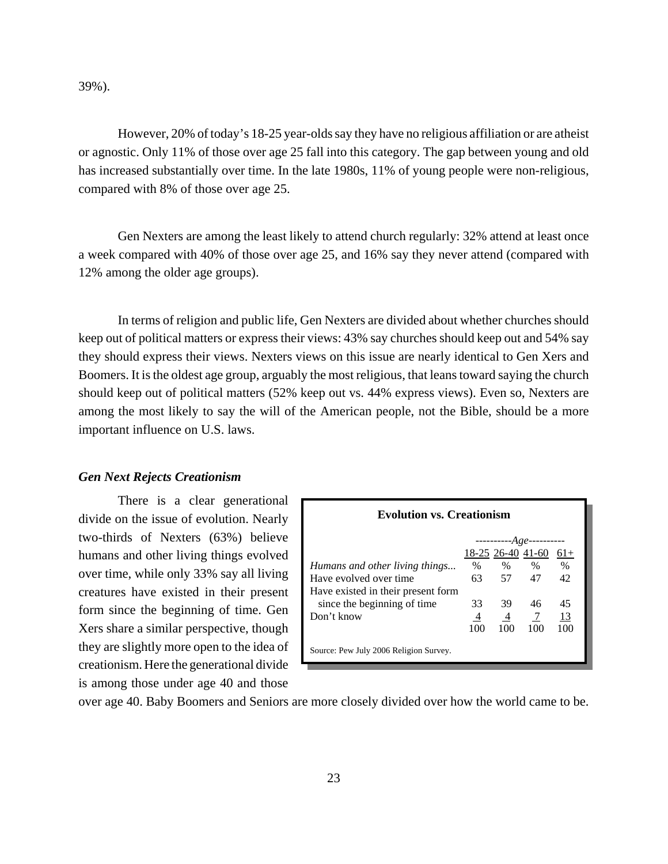However, 20% of today's 18-25 year-olds say they have no religious affiliation or are atheist or agnostic. Only 11% of those over age 25 fall into this category. The gap between young and old has increased substantially over time. In the late 1980s, 11% of young people were non-religious, compared with 8% of those over age 25.

Gen Nexters are among the least likely to attend church regularly: 32% attend at least once a week compared with 40% of those over age 25, and 16% say they never attend (compared with 12% among the older age groups).

In terms of religion and public life, Gen Nexters are divided about whether churches should keep out of political matters or express their views: 43% say churches should keep out and 54% say they should express their views. Nexters views on this issue are nearly identical to Gen Xers and Boomers. It is the oldest age group, arguably the most religious, that leans toward saying the church should keep out of political matters (52% keep out vs. 44% express views). Even so, Nexters are among the most likely to say the will of the American people, not the Bible, should be a more important influence on U.S. laws.

#### *Gen Next Rejects Creationism*

There is a clear generational divide on the issue of evolution. Nearly two-thirds of Nexters (63%) believe humans and other living things evolved over time, while only 33% say all living creatures have existed in their present form since the beginning of time. Gen Xers share a similar perspective, though they are slightly more open to the idea of creationism. Here the generational divide is among those under age 40 and those

| <b>Evolution vs. Creationism</b>       |      |                          |      |      |  |  |
|----------------------------------------|------|--------------------------|------|------|--|--|
|                                        |      | -----------Age---        |      |      |  |  |
|                                        |      | <u>18-25 26-40 41-60</u> |      | 61+  |  |  |
| Humans and other living things         | $\%$ | $\%$                     | $\%$ | $\%$ |  |  |
| Have evolved over time                 | 63   | 57                       | 47   | 42   |  |  |
| Have existed in their present form     |      |                          |      |      |  |  |
| since the beginning of time            | 33   | 39                       | 46   | 45   |  |  |
| Don't know                             | 4    | $\overline{A}$           | 7    | 13   |  |  |
|                                        | 100  | 100                      | 100  | 100  |  |  |
| Source: Pew July 2006 Religion Survey. |      |                          |      |      |  |  |

over age 40. Baby Boomers and Seniors are more closely divided over how the world came to be.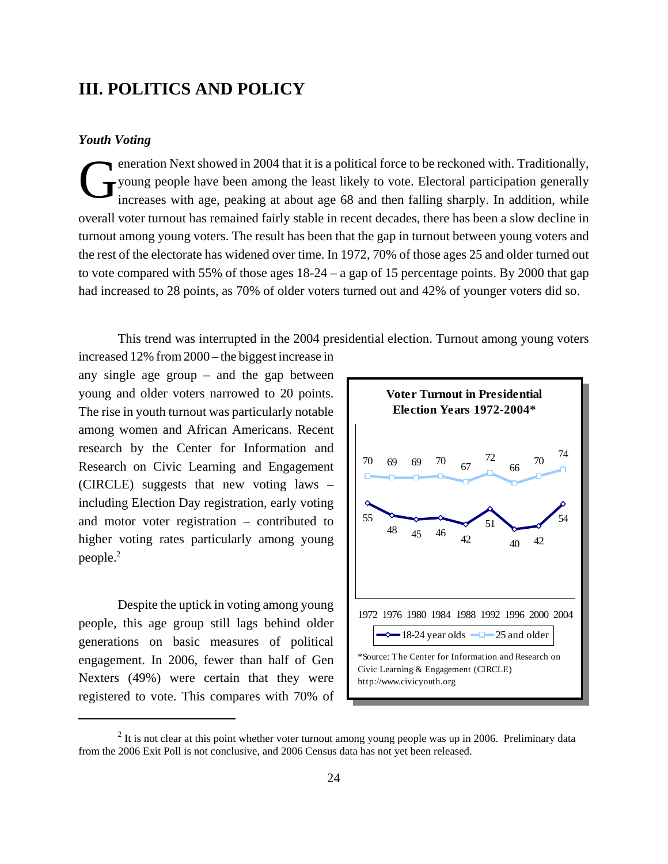# **III. POLITICS AND POLICY**

#### *Youth Voting*

eneration Next showed in 2004 that it is a political force to be reckoned with. Traditionally, young people have been among the least likely to vote. Electoral participation generally increases with age, peaking at about a young people have been among the least likely to vote. Electoral participation generally increases with age, peaking at about age 68 and then falling sharply. In addition, while overall voter turnout has remained fairly stable in recent decades, there has been a slow decline in turnout among young voters. The result has been that the gap in turnout between young voters and the rest of the electorate has widened over time. In 1972, 70% of those ages 25 and older turned out to vote compared with 55% of those ages  $18-24 - a$  gap of 15 percentage points. By 2000 that gap had increased to 28 points, as 70% of older voters turned out and 42% of younger voters did so.

This trend was interrupted in the 2004 presidential election. Turnout among young voters

increased 12% from 2000 – the biggest increase in any single age group – and the gap between young and older voters narrowed to 20 points. The rise in youth turnout was particularly notable among women and African Americans. Recent research by the Center for Information and Research on Civic Learning and Engagement (CIRCLE) suggests that new voting laws – including Election Day registration, early voting and motor voter registration – contributed to higher voting rates particularly among young people.<sup>2</sup>

Despite the uptick in voting among young people, this age group still lags behind older generations on basic measures of political engagement. In 2006, fewer than half of Gen Nexters (49%) were certain that they were registered to vote. This compares with 70% of



 $2$  It is not clear at this point whether voter turnout among young people was up in 2006. Preliminary data from the 2006 Exit Poll is not conclusive, and 2006 Census data has not yet been released.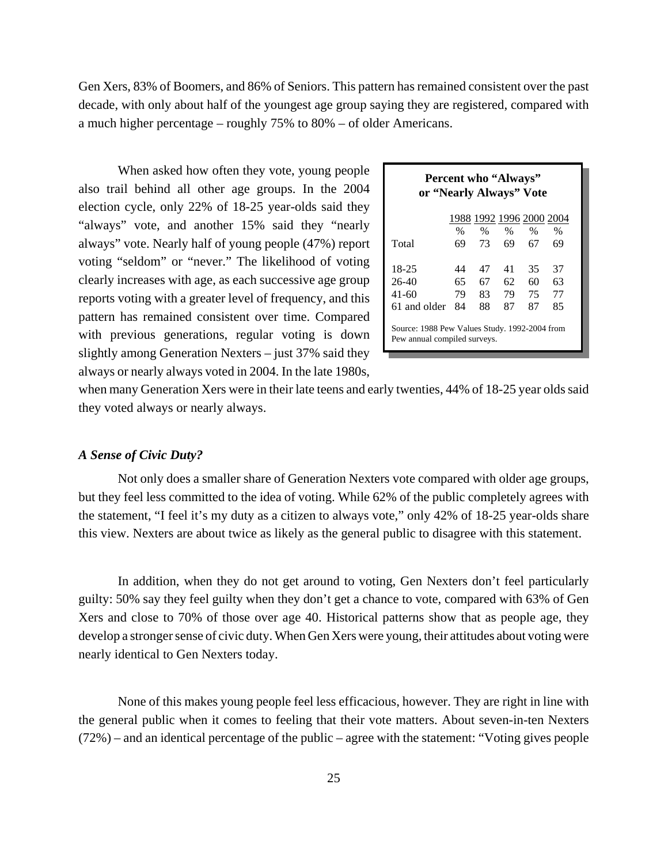Gen Xers, 83% of Boomers, and 86% of Seniors. This pattern has remained consistent over the past decade, with only about half of the youngest age group saying they are registered, compared with a much higher percentage – roughly 75% to 80% – of older Americans.

When asked how often they vote, young people also trail behind all other age groups. In the 2004 election cycle, only 22% of 18-25 year-olds said they "always" vote, and another 15% said they "nearly always" vote. Nearly half of young people (47%) report voting "seldom" or "never." The likelihood of voting clearly increases with age, as each successive age group reports voting with a greater level of frequency, and this pattern has remained consistent over time. Compared with previous generations, regular voting is down slightly among Generation Nexters – just 37% said they always or nearly always voted in 2004. In the late 1980s,

| Percent who "Always"<br>or "Nearly Always" Vote                               |      |                          |      |      |      |  |
|-------------------------------------------------------------------------------|------|--------------------------|------|------|------|--|
|                                                                               |      | 1988 1992 1996 2000 2004 |      |      |      |  |
|                                                                               | $\%$ | $\%$                     | $\%$ | $\%$ | $\%$ |  |
| Total                                                                         | 69   | 73                       | 69   | 67   | 69   |  |
|                                                                               |      |                          |      |      |      |  |
| 18-25                                                                         | 44   | 47                       | 41   | 35   | 37   |  |
| 26-40                                                                         | 65   | 67                       | 62   | 60   | 63   |  |
| 41-60                                                                         | 79   | 83.                      | 79   | 75   | 77   |  |
| 61 and older                                                                  | 84   | 88                       | 87   | 87   | 85   |  |
| Source: 1988 Pew Values Study. 1992-2004 from<br>Pew annual compiled surveys. |      |                          |      |      |      |  |

when many Generation Xers were in their late teens and early twenties, 44% of 18-25 year olds said they voted always or nearly always.

#### *A Sense of Civic Duty?*

Not only does a smaller share of Generation Nexters vote compared with older age groups, but they feel less committed to the idea of voting. While 62% of the public completely agrees with the statement, "I feel it's my duty as a citizen to always vote," only 42% of 18-25 year-olds share this view. Nexters are about twice as likely as the general public to disagree with this statement.

In addition, when they do not get around to voting, Gen Nexters don't feel particularly guilty: 50% say they feel guilty when they don't get a chance to vote, compared with 63% of Gen Xers and close to 70% of those over age 40. Historical patterns show that as people age, they develop a stronger sense of civic duty. When Gen Xers were young, their attitudes about voting were nearly identical to Gen Nexters today.

None of this makes young people feel less efficacious, however. They are right in line with the general public when it comes to feeling that their vote matters. About seven-in-ten Nexters (72%) – and an identical percentage of the public – agree with the statement: "Voting gives people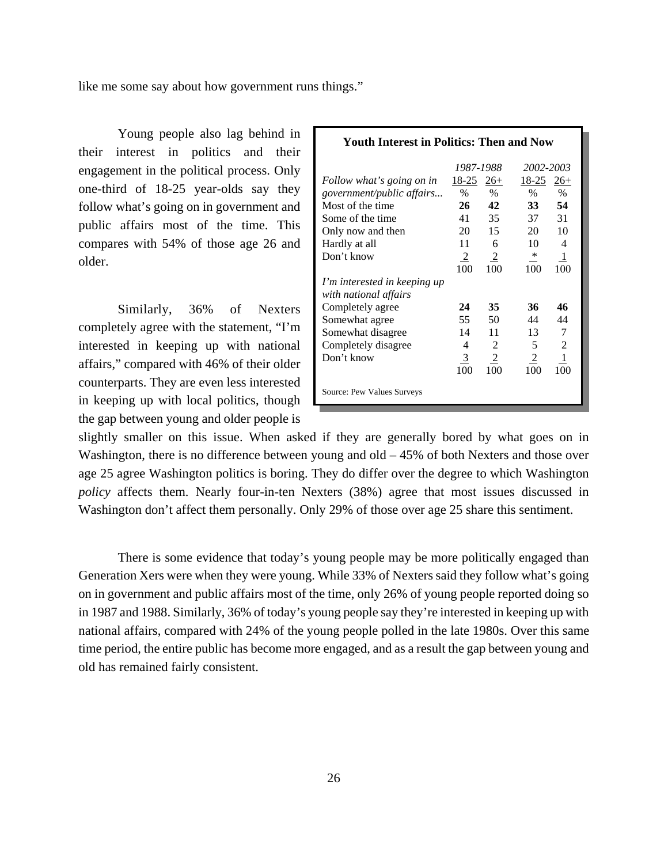like me some say about how government runs things."

Young people also lag behind in their interest in politics and their engagement in the political process. Only one-third of 18-25 year-olds say they follow what's going on in government and public affairs most of the time. This compares with 54% of those age 26 and older.

Similarly, 36% of Nexters completely agree with the statement, "I'm interested in keeping up with national affairs," compared with 46% of their older counterparts. They are even less interested in keeping up with local politics, though the gap between young and older people is

| Youth Interest in Politics: Then and Now |                |                 |           |              |  |  |
|------------------------------------------|----------------|-----------------|-----------|--------------|--|--|
|                                          | 1987-1988      |                 | 2002-2003 |              |  |  |
| Follow what's going on in                | 18-25          | $26+$           | 18-25     | $26+$        |  |  |
| government/public affairs                | $\%$           | $\%$            | $\%$      | $\%$         |  |  |
| Most of the time                         | 26             | 42              | 33        | 54           |  |  |
| Some of the time                         | 41             | 35              | 37        | 31           |  |  |
| Only now and then                        | 20             | 15 <sup>1</sup> | 20        | 10           |  |  |
| Hardly at all                            | 11             | 6               | 10        | 4            |  |  |
| Don't know                               | $\overline{2}$ | $\overline{2}$  | ∗         | $\mathbf{1}$ |  |  |
|                                          | 100            | 100             | 100       | 100          |  |  |
| I'm interested in keeping up             |                |                 |           |              |  |  |
| with national affairs                    |                |                 |           |              |  |  |
| Completely agree                         | 24             | 35              | 36        | 46           |  |  |
| Somewhat agree                           | 55             | 50              | 44        | 44           |  |  |
| Somewhat disagree                        | 14             | 11              | 13        | 7            |  |  |
| Completely disagree                      | 4              | 2               | 5         | 2            |  |  |
| Don't know                               | $\overline{3}$ | $\overline{2}$  | 2         | 1            |  |  |
|                                          | 100            | 100             | 100       | 100          |  |  |
| Source: Pew Values Surveys               |                |                 |           |              |  |  |

slightly smaller on this issue. When asked if they are generally bored by what goes on in Washington, there is no difference between young and  $old - 45\%$  of both Nexters and those over age 25 agree Washington politics is boring. They do differ over the degree to which Washington *policy* affects them. Nearly four-in-ten Nexters (38%) agree that most issues discussed in Washington don't affect them personally. Only 29% of those over age 25 share this sentiment.

There is some evidence that today's young people may be more politically engaged than Generation Xers were when they were young. While 33% of Nexters said they follow what's going on in government and public affairs most of the time, only 26% of young people reported doing so in 1987 and 1988. Similarly, 36% of today's young people say they're interested in keeping up with national affairs, compared with 24% of the young people polled in the late 1980s. Over this same time period, the entire public has become more engaged, and as a result the gap between young and old has remained fairly consistent.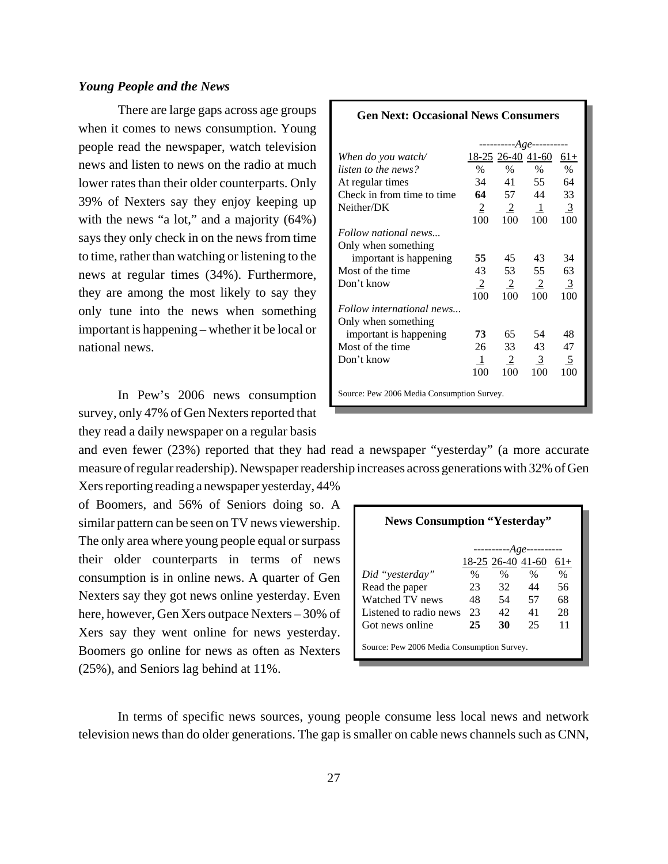## *Young People and the News*

There are large gaps across age groups when it comes to news consumption. Young people read the newspaper, watch television news and listen to news on the radio at much lower rates than their older counterparts. Only 39% of Nexters say they enjoy keeping up with the news "a lot," and a majority  $(64%)$ says they only check in on the news from time to time, rather than watching or listening to the news at regular times (34%). Furthermore, they are among the most likely to say they only tune into the news when something important is happening – whether it be local or national news.

In Pew's 2006 news consumption survey, only 47% of Gen Nexters reported that they read a daily newspaper on a regular basis

|                                            |                | -----------Age-- |                   |                |
|--------------------------------------------|----------------|------------------|-------------------|----------------|
| When do you watch/                         |                |                  | 18-25 26-40 41-60 | 61+            |
| listen to the news?                        | $\%$           | $\%$             | $\%$              | $\%$           |
| At regular times                           | 34             | 41               | 55                | 64             |
| Check in from time to time                 | 64             | 57               | 44                | 33             |
| Neither/DK                                 | $\overline{2}$ | $\overline{2}$   | $\mathbf{1}$      | $\overline{3}$ |
|                                            | 100            | 100              | 100               | 100            |
| Follow national news                       |                |                  |                   |                |
| Only when something                        |                |                  |                   |                |
| important is happening                     | 55             | 45               | 43                | 34             |
| Most of the time                           | 43             | 53               | 55                | 63             |
| Don't know                                 | 2              | 2                | 2                 | 3              |
|                                            | 100            | 100              | 100               | 100            |
| Follow international news                  |                |                  |                   |                |
| Only when something                        |                |                  |                   |                |
| important is happening                     | 73             | 65               | 54                | 48             |
| Most of the time                           | 26             | 33               | 43                | 47             |
| Don't know                                 | $\mathbf{1}$   | $\frac{2}{2}$    | $\overline{3}$    | $\overline{5}$ |
|                                            | 100            | 100              | 100               | 100            |
| Source: Pew 2006 Media Consumption Survey. |                |                  |                   |                |

**Gen Next: Occasional News Consumers**

and even fewer (23%) reported that they had read a newspaper "yesterday" (a more accurate measure of regular readership). Newspaper readership increases across generations with 32% of Gen Xers reporting reading a newspaper yesterday, 44%

of Boomers, and 56% of Seniors doing so. A similar pattern can be seen on TV news viewership. The only area where young people equal or surpass their older counterparts in terms of news consumption is in online news. A quarter of Gen Nexters say they got news online yesterday. Even here, however, Gen Xers outpace Nexters – 30% of Xers say they went online for news yesterday. Boomers go online for news as often as Nexters (25%), and Seniors lag behind at 11%.

| <b>News Consumption "Yesterday"</b>        |      |                   |                                   |               |  |
|--------------------------------------------|------|-------------------|-----------------------------------|---------------|--|
|                                            |      |                   | ----------- <i>Age</i> ---------- |               |  |
|                                            |      | 18-25 26-40 41-60 |                                   | 61+           |  |
| Did "yesterday"                            | $\%$ | $\%$              | $\%$                              | $\frac{0}{0}$ |  |
| Read the paper                             | 23   | 32                | 44                                | 56            |  |
| Watched TV news                            | 48.  |                   | 54 57                             | 68            |  |
| Listened to radio news                     | 23   | 42                | 41                                | 28            |  |
| Got news online                            | 25   | 30                | 25                                | 11            |  |
| Source: Pew 2006 Media Consumption Survey. |      |                   |                                   |               |  |

In terms of specific news sources, young people consume less local news and network television news than do older generations. The gap is smaller on cable news channels such as CNN,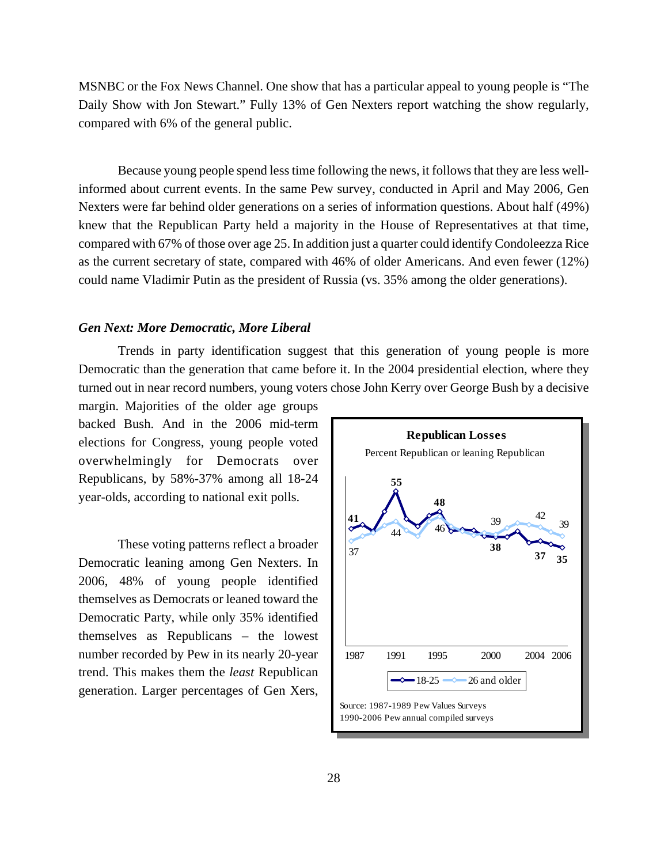MSNBC or the Fox News Channel. One show that has a particular appeal to young people is "The Daily Show with Jon Stewart." Fully 13% of Gen Nexters report watching the show regularly, compared with 6% of the general public.

Because young people spend less time following the news, it follows that they are less wellinformed about current events. In the same Pew survey, conducted in April and May 2006, Gen Nexters were far behind older generations on a series of information questions. About half (49%) knew that the Republican Party held a majority in the House of Representatives at that time, compared with 67% of those over age 25. In addition just a quarter could identify Condoleezza Rice as the current secretary of state, compared with 46% of older Americans. And even fewer (12%) could name Vladimir Putin as the president of Russia (vs. 35% among the older generations).

#### *Gen Next: More Democratic, More Liberal*

Trends in party identification suggest that this generation of young people is more Democratic than the generation that came before it. In the 2004 presidential election, where they turned out in near record numbers, young voters chose John Kerry over George Bush by a decisive

margin. Majorities of the older age groups backed Bush. And in the 2006 mid-term elections for Congress, young people voted overwhelmingly for Democrats over Republicans, by 58%-37% among all 18-24 year-olds, according to national exit polls.

These voting patterns reflect a broader Democratic leaning among Gen Nexters. In 2006, 48% of young people identified themselves as Democrats or leaned toward the Democratic Party, while only 35% identified themselves as Republicans – the lowest number recorded by Pew in its nearly 20-year trend. This makes them the *least* Republican generation. Larger percentages of Gen Xers,

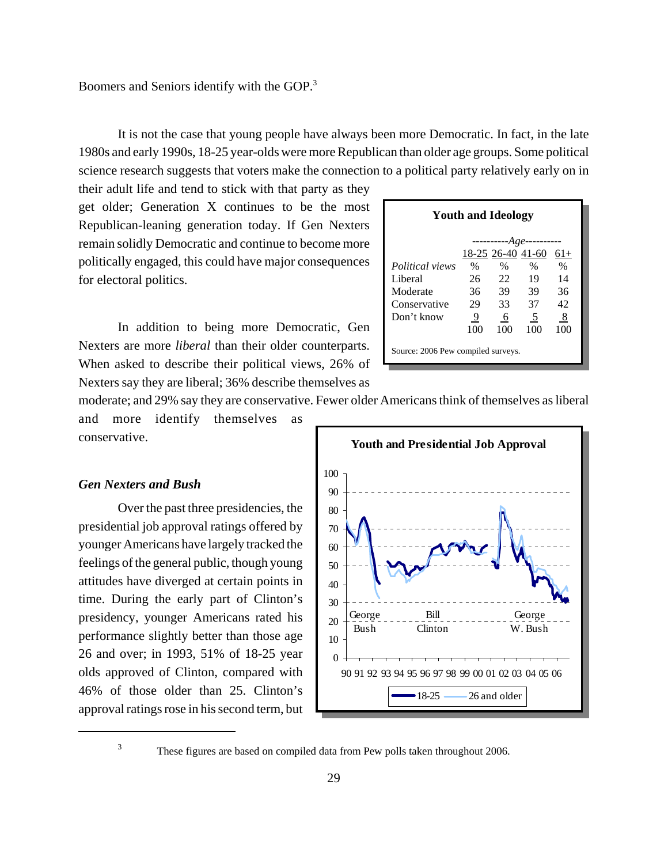Boomers and Seniors identify with the GOP.<sup>3</sup>

It is not the case that young people have always been more Democratic. In fact, in the late 1980s and early 1990s, 18-25 year-olds were more Republican than older age groups. Some political science research suggests that voters make the connection to a political party relatively early on in

their adult life and tend to stick with that party as they get older; Generation X continues to be the most Republican-leaning generation today. If Gen Nexters remain solidly Democratic and continue to become more politically engaged, this could have major consequences for electoral politics.

In addition to being more Democratic, Gen Nexters are more *liberal* than their older counterparts. When asked to describe their political views, 26% of Nexters say they are liberal; 36% describe themselves as

| <b>Youth and Ideology</b>          |                      |      |      |               |  |  |  |  |
|------------------------------------|----------------------|------|------|---------------|--|--|--|--|
| -----------Age----------           |                      |      |      |               |  |  |  |  |
| 18-25 26-40 41-60<br>$61+$         |                      |      |      |               |  |  |  |  |
| <i>Political views</i>             | $\%$                 | $\%$ | $\%$ | $\frac{0}{6}$ |  |  |  |  |
| Liberal                            | 26                   | 22   | 19   | 14            |  |  |  |  |
| Moderate                           | 36                   | 39   | 39   | 36            |  |  |  |  |
| Conservative                       | 42<br>29<br>33<br>37 |      |      |               |  |  |  |  |
| Don't know                         | 9                    | 6    | 5    | 8             |  |  |  |  |
|                                    | 100                  | 100  | 100  | 100           |  |  |  |  |
| Source: 2006 Pew compiled surveys. |                      |      |      |               |  |  |  |  |

moderate; and 29% say they are conservative. Fewer older Americans think of themselves as liberal

and more identify themselves as conservative.

#### *Gen Nexters and Bush*

Over the past three presidencies, the presidential job approval ratings offered by younger Americans have largely tracked the feelings of the general public, though young attitudes have diverged at certain points in time. During the early part of Clinton's presidency, younger Americans rated his performance slightly better than those age 26 and over; in 1993, 51% of 18-25 year olds approved of Clinton, compared with 46% of those older than 25. Clinton's approval ratings rose in his second term, but



<sup>&</sup>lt;sup>3</sup> These figures are based on compiled data from Pew polls taken throughout 2006.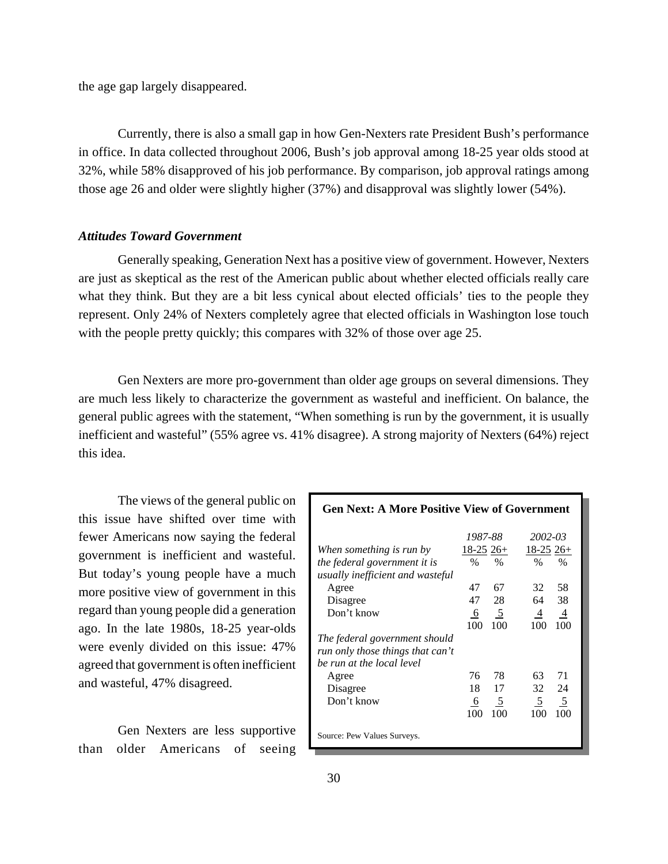the age gap largely disappeared.

Currently, there is also a small gap in how Gen-Nexters rate President Bush's performance in office. In data collected throughout 2006, Bush's job approval among 18-25 year olds stood at 32%, while 58% disapproved of his job performance. By comparison, job approval ratings among those age 26 and older were slightly higher (37%) and disapproval was slightly lower (54%).

# *Attitudes Toward Government*

Generally speaking, Generation Next has a positive view of government. However, Nexters are just as skeptical as the rest of the American public about whether elected officials really care what they think. But they are a bit less cynical about elected officials' ties to the people they represent. Only 24% of Nexters completely agree that elected officials in Washington lose touch with the people pretty quickly; this compares with 32% of those over age 25.

Gen Nexters are more pro-government than older age groups on several dimensions. They are much less likely to characterize the government as wasteful and inefficient. On balance, the general public agrees with the statement, "When something is run by the government, it is usually inefficient and wasteful" (55% agree vs. 41% disagree). A strong majority of Nexters (64%) reject this idea.

The views of the general public on this issue have shifted over time with fewer Americans now saying the federal government is inefficient and wasteful. But today's young people have a much more positive view of government in this regard than young people did a generation ago. In the late 1980s, 18-25 year-olds were evenly divided on this issue: 47% agreed that government is often inefficient and wasteful, 47% disagreed.

Gen Nexters are less supportive than older Americans of seeing

| <b>Gen Next: A More Positive View of Government</b> |             |                |                     |
|-----------------------------------------------------|-------------|----------------|---------------------|
|                                                     | 1987-88     |                | 2002-03             |
| When something is run by                            | $18-25$ 26+ |                | $18-25$ 26+         |
| the federal government it is                        | $\%$        | $\%$           | $\%$<br>$\%$        |
| usually inefficient and wasteful                    |             |                |                     |
| Agree                                               | 47          | 67             | 32<br>58            |
| Disagree                                            | 47          | 28             | 38<br>64            |
| Don't know                                          | 6           | $\overline{5}$ | $\overline{4}$<br>4 |
|                                                     | 100         | 100            | 100<br>100          |
| The federal government should                       |             |                |                     |
| run only those things that can't                    |             |                |                     |
| be run at the local level                           |             |                |                     |
| Agree                                               | 76          | 78             | 63<br>71            |
| Disagree                                            | 18          | 17             | 32<br>24            |
| Don't know                                          | 6           | 5 <sup>5</sup> | $\overline{5}$<br>5 |
|                                                     | 100         | 100            | 100<br>100          |
| Source: Pew Values Surveys.                         |             |                |                     |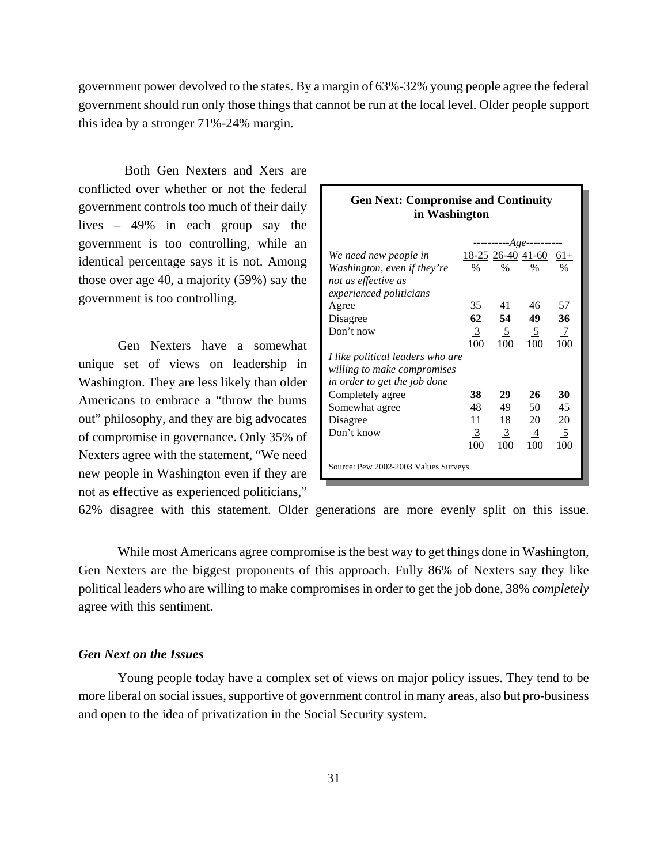government power devolved to the states. By a margin of 63%-32% young people agree the federal government should run only those things that cannot be run at the local level. Older people support this idea by a stronger 71%-24% margin.

 Both Gen Nexters and Xers are conflicted over whether or not the federal government controls too much of their daily lives – 49% in each group say the government is too controlling, while an identical percentage says it is not. Among those over age 40, a majority (59%) say the government is too controlling.

Gen Nexters have a somewhat unique set of views on leadership in Washington. They are less likely than older Americans to embrace a "throw the bums out" philosophy, and they are big advocates of compromise in governance. Only 35% of Nexters agree with the statement, "We need new people in Washington even if they are not as effective as experienced politicians,"

| <b>Gen Next: Compromise and Continuity</b><br>in Washington |                |                |                                          |                |
|-------------------------------------------------------------|----------------|----------------|------------------------------------------|----------------|
| We need new people in                                       |                |                | --Age--------<br>$18-25$ 26-40 41-60 61+ |                |
| Washington, even if they're                                 | $\%$           | $\%$           | $\%$                                     | $\frac{0}{0}$  |
| not as effective as                                         |                |                |                                          |                |
| experienced politicians                                     |                |                |                                          |                |
| Agree                                                       | 35             | 41             | 46                                       | 57             |
| Disagree                                                    | 62             | 54             | 49                                       | 36             |
| Don't now                                                   | 3              | $\overline{5}$ | $\overline{5}$                           | $\sqrt{7}$     |
|                                                             | 100            | 100            | 100                                      | 100            |
| I like political leaders who are                            |                |                |                                          |                |
| willing to make compromises                                 |                |                |                                          |                |
| in order to get the job done                                |                |                |                                          |                |
| Completely agree                                            | 38             | 29             | 26                                       | 30             |
| Somewhat agree                                              | 48             | 49             | 50                                       | 45             |
| Disagree                                                    | 11             | 18             | 20                                       | 20             |
| Don't know                                                  | $\overline{3}$ | $\overline{3}$ | $\overline{4}$                           | $\overline{5}$ |
|                                                             | 100            | 100            | 100                                      | 100            |
| Source: Pew 2002-2003 Values Surveys                        |                |                |                                          |                |

62% disagree with this statement. Older generations are more evenly split on this issue.

While most Americans agree compromise is the best way to get things done in Washington, Gen Nexters are the biggest proponents of this approach. Fully 86% of Nexters say they like political leaders who are willing to make compromises in order to get the job done, 38% *completely* agree with this sentiment.

#### *Gen Next on the Issues*

Young people today have a complex set of views on major policy issues. They tend to be more liberal on social issues, supportive of government control in many areas, also but pro-business and open to the idea of privatization in the Social Security system.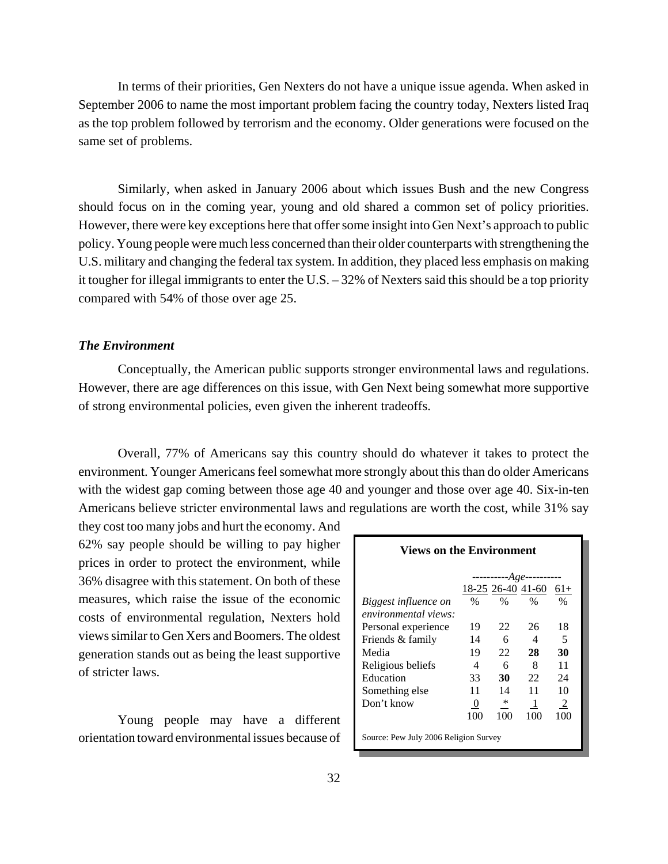In terms of their priorities, Gen Nexters do not have a unique issue agenda. When asked in September 2006 to name the most important problem facing the country today, Nexters listed Iraq as the top problem followed by terrorism and the economy. Older generations were focused on the same set of problems.

Similarly, when asked in January 2006 about which issues Bush and the new Congress should focus on in the coming year, young and old shared a common set of policy priorities. However, there were key exceptions here that offer some insight into Gen Next's approach to public policy. Young people were much less concerned than their older counterparts with strengthening the U.S. military and changing the federal tax system. In addition, they placed less emphasis on making it tougher for illegal immigrants to enter the U.S. – 32% of Nexters said this should be a top priority compared with 54% of those over age 25.

#### *The Environment*

Conceptually, the American public supports stronger environmental laws and regulations. However, there are age differences on this issue, with Gen Next being somewhat more supportive of strong environmental policies, even given the inherent tradeoffs.

Overall, 77% of Americans say this country should do whatever it takes to protect the environment. Younger Americans feel somewhat more strongly about this than do older Americans with the widest gap coming between those age 40 and younger and those over age 40. Six-in-ten Americans believe stricter environmental laws and regulations are worth the cost, while 31% say

they cost too many jobs and hurt the economy. And 62% say people should be willing to pay higher prices in order to protect the environment, while 36% disagree with this statement. On both of these measures, which raise the issue of the economic costs of environmental regulation, Nexters hold views similar to Gen Xers and Boomers. The oldest generation stands out as being the least supportive of stricter laws.

Young people may have a different orientation toward environmental issues because of

|                      |                |           | -----------Age---------- |                |
|----------------------|----------------|-----------|--------------------------|----------------|
|                      |                |           | 18-25 26-40 41-60 61+    |                |
| Biggest influence on | $\%$           | %         | $\%$                     | $\%$           |
| environmental views: |                |           |                          |                |
| Personal experience  | 19             | 22        | 26                       | 18             |
| Friends & family     | 14             | - 6       | 4                        | .5             |
| Media                | 19             | 22        | 28                       | 30             |
| Religious beliefs    | $\overline{4}$ | 6         | 8                        | 11             |
| Education            | 33             | <b>30</b> | 22                       | 24             |
| Something else       | 11.            | 14        | 11                       | 10             |
| Don't know           | $\bf{0}$       | $\ast$    | $\perp$                  | $\overline{2}$ |
|                      | 100            | 100       | 100                      | 100            |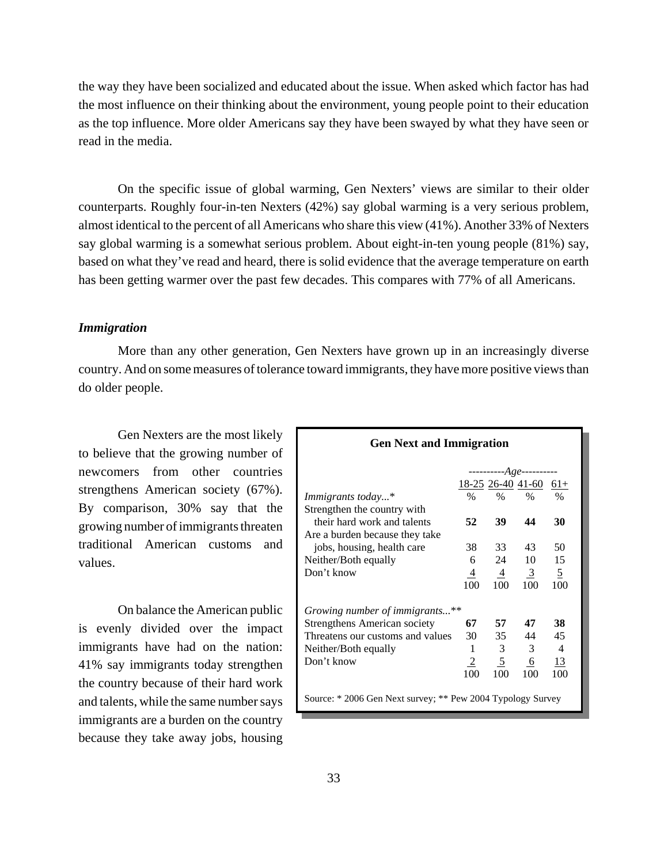the way they have been socialized and educated about the issue. When asked which factor has had the most influence on their thinking about the environment, young people point to their education as the top influence. More older Americans say they have been swayed by what they have seen or read in the media.

On the specific issue of global warming, Gen Nexters' views are similar to their older counterparts. Roughly four-in-ten Nexters (42%) say global warming is a very serious problem, almost identical to the percent of all Americans who share this view (41%). Another 33% of Nexters say global warming is a somewhat serious problem. About eight-in-ten young people (81%) say, based on what they've read and heard, there is solid evidence that the average temperature on earth has been getting warmer over the past few decades. This compares with 77% of all Americans.

#### *Immigration*

More than any other generation, Gen Nexters have grown up in an increasingly diverse country. And on some measures of tolerance toward immigrants, they have more positive views than do older people.

Gen Nexters are the most likely to believe that the growing number of newcomers from other countries strengthens American society (67%). By comparison, 30% say that the growing number of immigrants threaten traditional American customs and values.

On balance the American public is evenly divided over the impact immigrants have had on the nation: 41% say immigrants today strengthen the country because of their hard work and talents, while the same number says immigrants are a burden on the country because they take away jobs, housing

| <b>Gen Next and Immigration</b>                             |                |                |                                  |                |
|-------------------------------------------------------------|----------------|----------------|----------------------------------|----------------|
|                                                             |                |                | ----------- <i>Age----------</i> |                |
|                                                             |                |                | 18-25 26-40 41-60                | $61+$          |
| Immigrants today*                                           | %              | $\%$           | $\%$                             | $\frac{0}{0}$  |
| Strengthen the country with                                 |                |                |                                  |                |
| their hard work and talents                                 | 52             | 39             | 44                               | 30             |
| Are a burden because they take                              |                |                |                                  |                |
| jobs, housing, health care                                  | 38             | 33             | 43                               | 50             |
| Neither/Both equally                                        | 6              | 24             | 10                               | 15             |
| Don't know                                                  | $\overline{4}$ |                | $\frac{4}{5}$ $\frac{3}{5}$      | $\overline{2}$ |
|                                                             | 100            | 100            | 100                              | 100            |
| Growing number of immigrants**                              |                |                |                                  |                |
| <b>Strengthens American society</b>                         | 67 -           | 57.            | 47                               | 38             |
| Threatens our customs and values                            | 30             | 35             | 44                               | 45             |
| Neither/Both equally                                        | 1              | 3 <sup>1</sup> | $\mathcal{E}$                    | 4              |
| Don't know                                                  | $\overline{2}$ | $\overline{5}$ | $6\overline{6}$                  | 13             |
|                                                             | 100            | 100            | 100                              | 100            |
| Source: * 2006 Gen Next survey; ** Pew 2004 Typology Survey |                |                |                                  |                |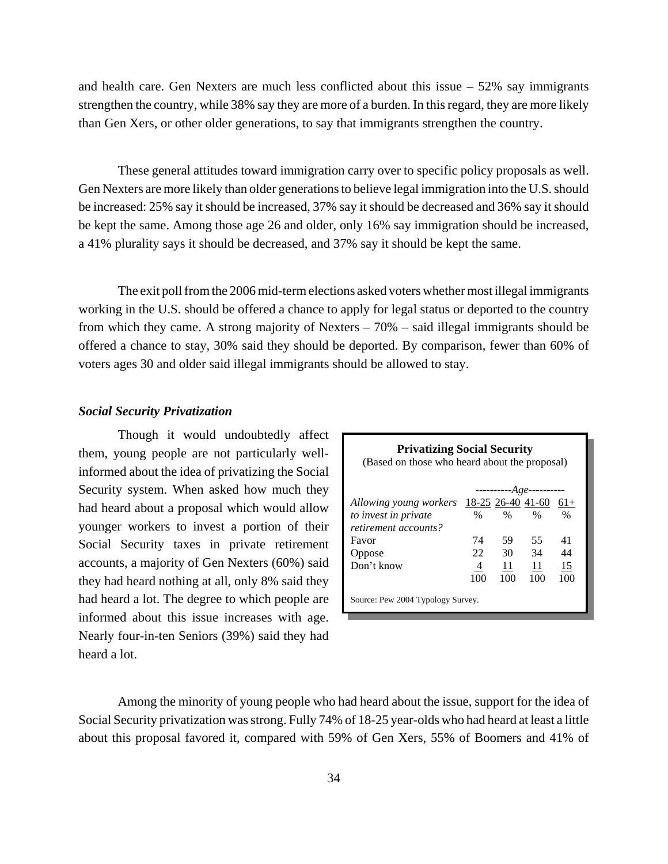and health care. Gen Nexters are much less conflicted about this issue – 52% say immigrants strengthen the country, while 38% say they are more of a burden. In this regard, they are more likely than Gen Xers, or other older generations, to say that immigrants strengthen the country.

These general attitudes toward immigration carry over to specific policy proposals as well. Gen Nexters are more likely than older generations to believe legal immigration into the U.S. should be increased: 25% say it should be increased, 37% say it should be decreased and 36% say it should be kept the same. Among those age 26 and older, only 16% say immigration should be increased, a 41% plurality says it should be decreased, and 37% say it should be kept the same.

The exit poll from the 2006 mid-term elections asked voters whether most illegal immigrants working in the U.S. should be offered a chance to apply for legal status or deported to the country from which they came. A strong majority of Nexters – 70% – said illegal immigrants should be offered a chance to stay, 30% said they should be deported. By comparison, fewer than 60% of voters ages 30 and older said illegal immigrants should be allowed to stay.

#### *Social Security Privatization*

Though it would undoubtedly affect them, young people are not particularly wellinformed about the idea of privatizing the Social Security system. When asked how much they had heard about a proposal which would allow younger workers to invest a portion of their Social Security taxes in private retirement accounts, a majority of Gen Nexters (60%) said they had heard nothing at all, only 8% said they had heard a lot. The degree to which people are informed about this issue increases with age. Nearly four-in-ten Seniors (39%) said they had heard a lot.

| <b>Privatizing Social Security</b><br>(Based on those who heard about the proposal) |      |      |                               |      |  |  |
|-------------------------------------------------------------------------------------|------|------|-------------------------------|------|--|--|
| ---------Age-------                                                                 |      |      |                               |      |  |  |
| Allowing young workers                                                              |      |      | $18-25$ $26-40$ $41-60$ $61+$ |      |  |  |
| to invest in private                                                                | $\%$ | $\%$ | $\%$                          | $\%$ |  |  |
| retirement accounts?                                                                |      |      |                               |      |  |  |
| Favor                                                                               | 74   | .59  | 55                            | 41   |  |  |
| Oppose                                                                              | 22   | 30   | 34                            | 44   |  |  |
| Don't know                                                                          | 4    | 11   | 11                            | 15   |  |  |
|                                                                                     | 100  | 100  | 100                           | 100  |  |  |
| Source: Pew 2004 Typology Survey.                                                   |      |      |                               |      |  |  |

Among the minority of young people who had heard about the issue, support for the idea of Social Security privatization was strong. Fully 74% of 18-25 year-olds who had heard at least a little about this proposal favored it, compared with 59% of Gen Xers, 55% of Boomers and 41% of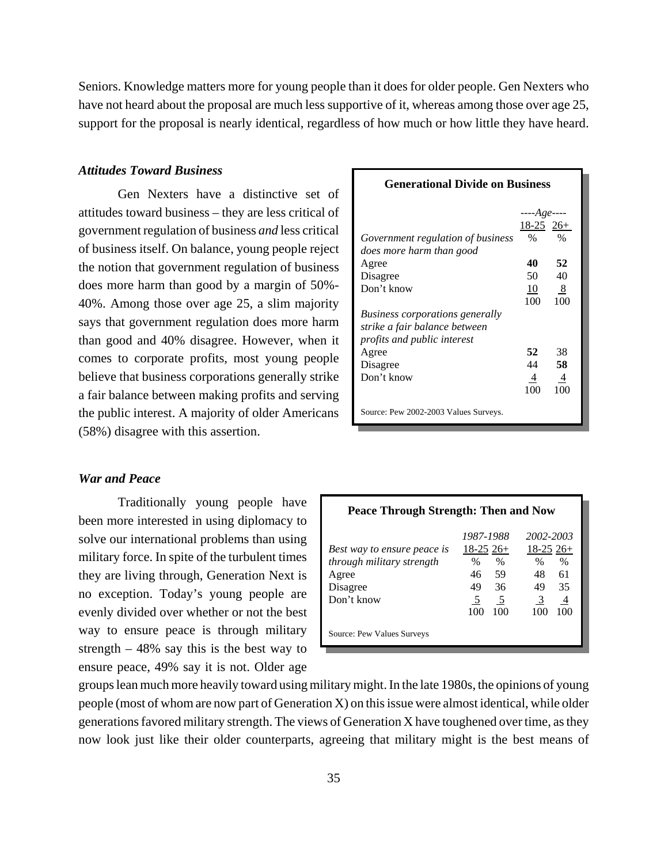Seniors. Knowledge matters more for young people than it does for older people. Gen Nexters who have not heard about the proposal are much less supportive of it, whereas among those over age 25, support for the proposal is nearly identical, regardless of how much or how little they have heard.

#### *Attitudes Toward Business*

Gen Nexters have a distinctive set of attitudes toward business – they are less critical of government regulation of business *and* less critical of business itself. On balance, young people reject the notion that government regulation of business does more harm than good by a margin of 50%- 40%. Among those over age 25, a slim majority says that government regulation does more harm than good and 40% disagree. However, when it comes to corporate profits, most young people believe that business corporations generally strike a fair balance between making profits and serving the public interest. A majority of older Americans (58%) disagree with this assertion.

| <b>Generational Divide on Business</b> |             |                  |
|----------------------------------------|-------------|------------------|
|                                        | $---Age---$ |                  |
|                                        | $18-25$ 26+ |                  |
| Government regulation of business      | $\%$        | $\%$             |
| does more harm than good               |             |                  |
| Agree                                  | 40          | 52               |
| Disagree                               | 50          | 40               |
| Don't know                             | 10          | $_{\frac{8}{2}}$ |
|                                        | 100         | 100              |
| <b>Business corporations generally</b> |             |                  |
| strike a fair balance between          |             |                  |
| <i>profits and public interest</i>     |             |                  |
| Agree                                  | 52          | 38               |
| Disagree                               | 44          | 58               |
| Don't know                             | 4           | -4               |
|                                        | 100         | 100              |
| Source: Pew 2002-2003 Values Surveys.  |             |                  |

#### *War and Peace*

Traditionally young people have been more interested in using diplomacy to solve our international problems than using military force. In spite of the turbulent times they are living through, Generation Next is no exception. Today's young people are evenly divided over whether or not the best way to ensure peace is through military strength  $-48\%$  say this is the best way to ensure peace, 49% say it is not. Older age

| <b>Peace Through Strength: Then and Now</b>                                                 |                                                          |                              |                                                          |                              |  |  |
|---------------------------------------------------------------------------------------------|----------------------------------------------------------|------------------------------|----------------------------------------------------------|------------------------------|--|--|
| Best way to ensure peace is<br>through military strength<br>Agree<br>Disagree<br>Don't know | 1987-1988<br>$18-25$ 26+<br>$\%$<br>46<br>49<br>5<br>100 | $\%$<br>59<br>36<br>5<br>100 | 2002-2003<br>$18-25$ 26+<br>$\%$<br>48<br>49<br>3<br>100 | $\%$<br>61<br>35<br>4<br>100 |  |  |
| Source: Pew Values Surveys                                                                  |                                                          |                              |                                                          |                              |  |  |

groups lean much more heavily toward using military might. In the late 1980s, the opinions of young people (most of whom are now part of Generation X) on this issue were almost identical, while older generations favored military strength. The views of Generation X have toughened over time, as they now look just like their older counterparts, agreeing that military might is the best means of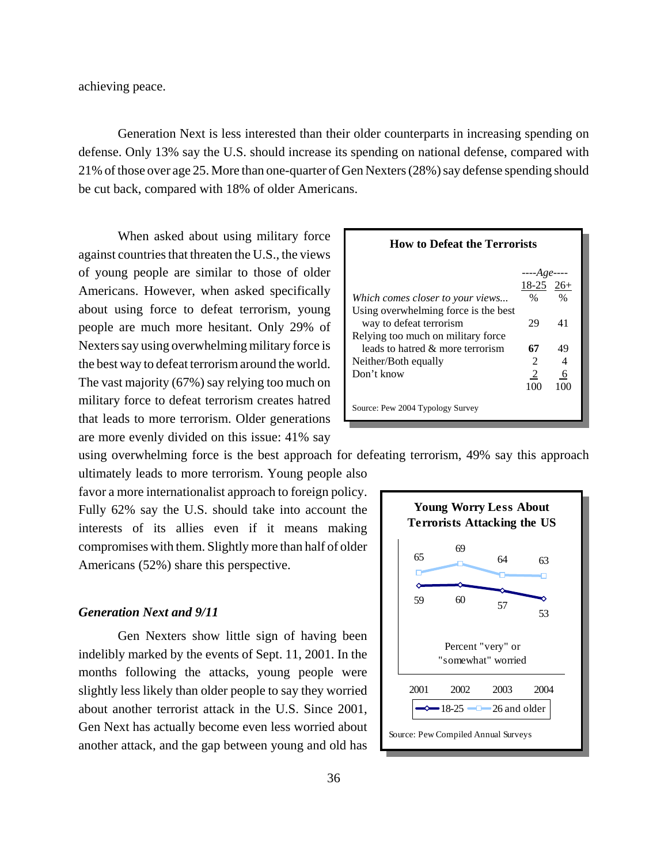achieving peace.

Generation Next is less interested than their older counterparts in increasing spending on defense. Only 13% say the U.S. should increase its spending on national defense, compared with 21% of those over age 25. More than one-quarter of Gen Nexters (28%) say defense spending should be cut back, compared with 18% of older Americans.

When asked about using military force against countries that threaten the U.S., the views of young people are similar to those of older Americans. However, when asked specifically about using force to defeat terrorism, young people are much more hesitant. Only 29% of Nexters say using overwhelming military force is the best way to defeat terrorism around the world. The vast majority (67%) say relying too much on military force to defeat terrorism creates hatred that leads to more terrorism. Older generations are more evenly divided on this issue: 41% say

| <b>How to Defeat the Terrorists</b>  |               |               |  |  |
|--------------------------------------|---------------|---------------|--|--|
|                                      | ----Age----   |               |  |  |
|                                      | $18-25$ $26+$ |               |  |  |
| Which comes closer to your views     | $\%$          | $\frac{0}{6}$ |  |  |
| Using overwhelming force is the best |               |               |  |  |
| way to defeat terrorism              | 29            | 41            |  |  |
| Relying too much on military force   |               |               |  |  |
| leads to hatred & more terrorism     | 67            | 49            |  |  |
| Neither/Both equally                 | 2             |               |  |  |
| Don't know                           | 2             | 6             |  |  |
|                                      | 100           | 100           |  |  |
| Source: Pew 2004 Typology Survey     |               |               |  |  |

using overwhelming force is the best approach for defeating terrorism, 49% say this approach ultimately leads to more terrorism. Young people also

favor a more internationalist approach to foreign policy. Fully 62% say the U.S. should take into account the interests of its allies even if it means making compromises with them. Slightly more than half of older Americans (52%) share this perspective.

### *Generation Next and 9/11*

Gen Nexters show little sign of having been indelibly marked by the events of Sept. 11, 2001. In the months following the attacks, young people were slightly less likely than older people to say they worried about another terrorist attack in the U.S. Since 2001, Gen Next has actually become even less worried about another attack, and the gap between young and old has

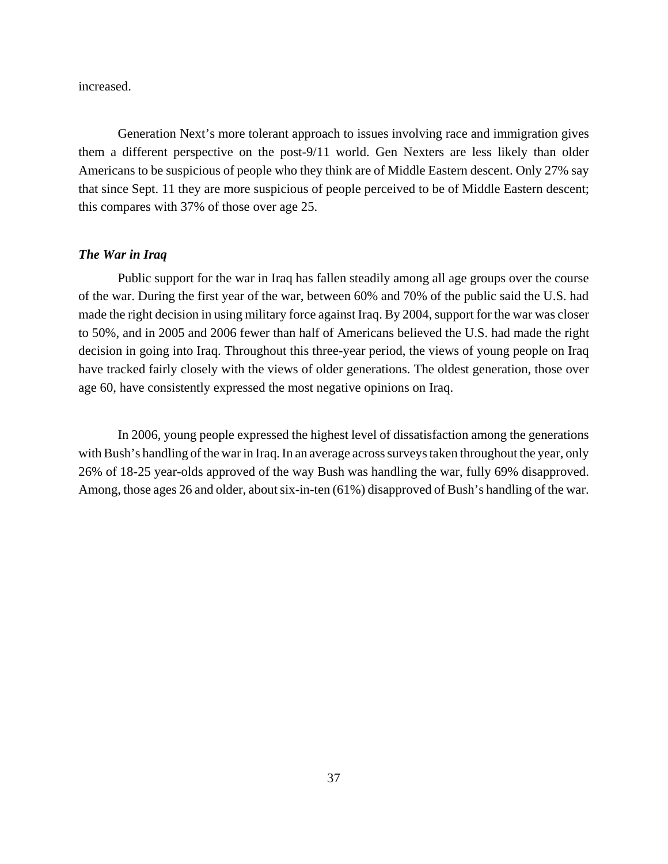increased.

Generation Next's more tolerant approach to issues involving race and immigration gives them a different perspective on the post-9/11 world. Gen Nexters are less likely than older Americans to be suspicious of people who they think are of Middle Eastern descent. Only 27% say that since Sept. 11 they are more suspicious of people perceived to be of Middle Eastern descent; this compares with 37% of those over age 25.

### *The War in Iraq*

Public support for the war in Iraq has fallen steadily among all age groups over the course of the war. During the first year of the war, between 60% and 70% of the public said the U.S. had made the right decision in using military force against Iraq. By 2004, support for the war was closer to 50%, and in 2005 and 2006 fewer than half of Americans believed the U.S. had made the right decision in going into Iraq. Throughout this three-year period, the views of young people on Iraq have tracked fairly closely with the views of older generations. The oldest generation, those over age 60, have consistently expressed the most negative opinions on Iraq.

In 2006, young people expressed the highest level of dissatisfaction among the generations with Bush's handling of the war in Iraq. In an average across surveys taken throughout the year, only 26% of 18-25 year-olds approved of the way Bush was handling the war, fully 69% disapproved. Among, those ages 26 and older, about six-in-ten (61%) disapproved of Bush's handling of the war.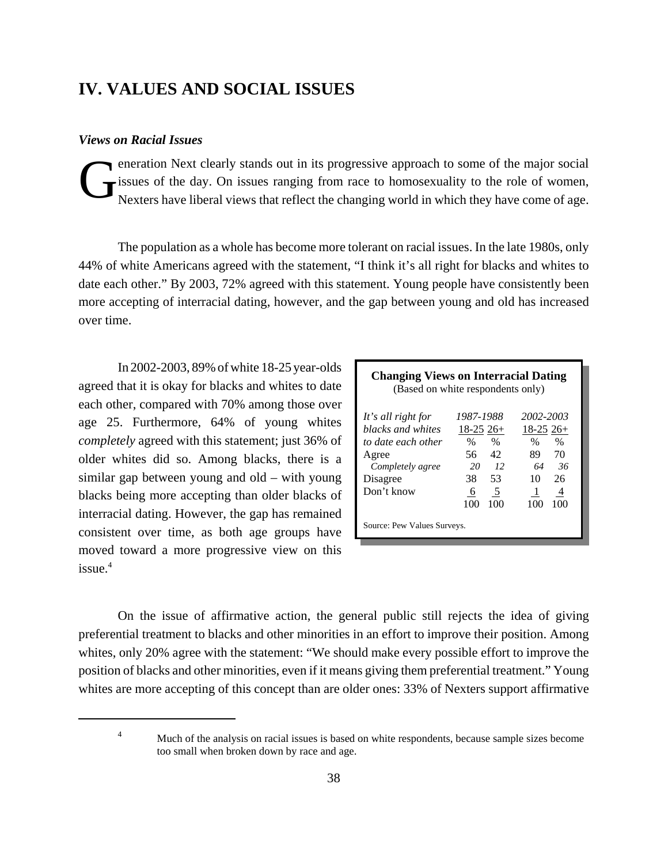# **IV. VALUES AND SOCIAL ISSUES**

#### *Views on Racial Issues*

Generation Next clearly stands out in its progressive approach to some of the major social<br>issues of the day. On issues ranging from race to homosexuality to the role of women,<br>Nexters have liberal views that reflect the c issues of the day. On issues ranging from race to homosexuality to the role of women, Nexters have liberal views that reflect the changing world in which they have come of age.

The population as a whole has become more tolerant on racial issues. In the late 1980s, only 44% of white Americans agreed with the statement, "I think it's all right for blacks and whites to date each other." By 2003, 72% agreed with this statement. Young people have consistently been more accepting of interracial dating, however, and the gap between young and old has increased over time.

In 2002-2003, 89% of white 18-25 year-olds agreed that it is okay for blacks and whites to date each other, compared with 70% among those over age 25. Furthermore, 64% of young whites *completely* agreed with this statement; just 36% of older whites did so. Among blacks, there is a similar gap between young and old – with young blacks being more accepting than older blacks of interracial dating. However, the gap has remained consistent over time, as both age groups have moved toward a more progressive view on this  $i$ ssue. $4$ 

| <b>Changing Views on Interracial Dating</b><br>(Based on white respondents only) |              |                 |  |  |  |  |
|----------------------------------------------------------------------------------|--------------|-----------------|--|--|--|--|
| It's all right for                                                               | 1987-1988    | 2002-2003       |  |  |  |  |
| blacks and whites                                                                | $18-25$ 26+  | $18 - 252 + 64$ |  |  |  |  |
| to date each other                                                               | $\%$<br>$\%$ | $\%$<br>$\%$    |  |  |  |  |
| Agree                                                                            | 42<br>56     | 89<br>70        |  |  |  |  |
| Completely agree                                                                 | - 12<br>20   | 64<br>- 36      |  |  |  |  |
| Disagree                                                                         | 38<br>53     | 10<br>26        |  |  |  |  |
| Don't know                                                                       | 5<br>6       | -1<br>4         |  |  |  |  |
|                                                                                  | 100<br>100   | 100<br>100      |  |  |  |  |
| Source: Pew Values Surveys.                                                      |              |                 |  |  |  |  |

On the issue of affirmative action, the general public still rejects the idea of giving preferential treatment to blacks and other minorities in an effort to improve their position. Among whites, only 20% agree with the statement: "We should make every possible effort to improve the position of blacks and other minorities, even if it means giving them preferential treatment." Young whites are more accepting of this concept than are older ones: 33% of Nexters support affirmative

<sup>&</sup>lt;sup>4</sup> Much of the analysis on racial issues is based on white respondents, because sample sizes become too small when broken down by race and age.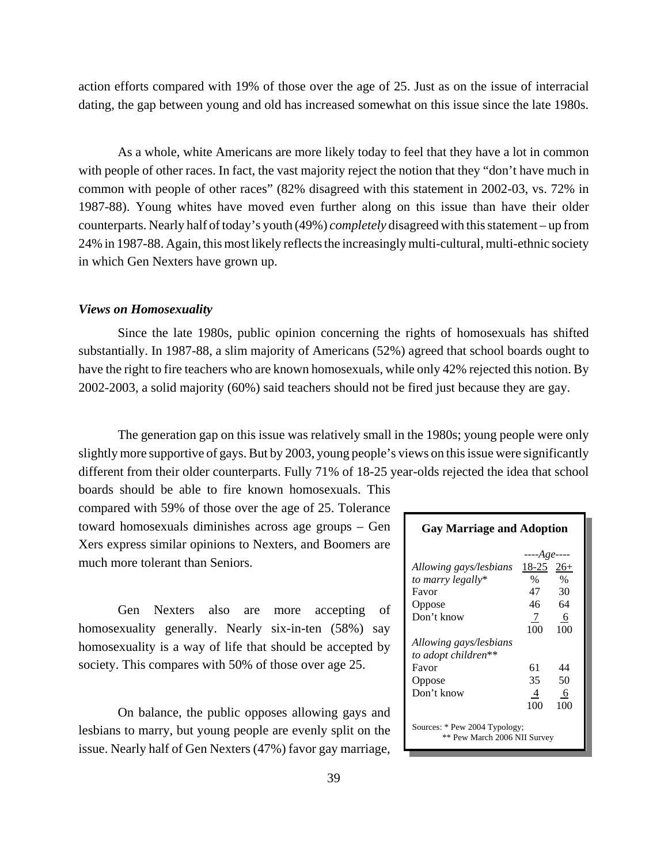action efforts compared with 19% of those over the age of 25. Just as on the issue of interracial dating, the gap between young and old has increased somewhat on this issue since the late 1980s.

As a whole, white Americans are more likely today to feel that they have a lot in common with people of other races. In fact, the vast majority reject the notion that they "don't have much in common with people of other races" (82% disagreed with this statement in 2002-03, vs. 72% in 1987-88). Young whites have moved even further along on this issue than have their older counterparts. Nearly half of today's youth (49%) *completely* disagreed with this statement – up from 24% in 1987-88. Again, this most likely reflects the increasingly multi-cultural, multi-ethnic society in which Gen Nexters have grown up.

#### *Views on Homosexuality*

Since the late 1980s, public opinion concerning the rights of homosexuals has shifted substantially. In 1987-88, a slim majority of Americans (52%) agreed that school boards ought to have the right to fire teachers who are known homosexuals, while only 42% rejected this notion. By 2002-2003, a solid majority (60%) said teachers should not be fired just because they are gay.

The generation gap on this issue was relatively small in the 1980s; young people were only slightly more supportive of gays. But by 2003, young people's views on this issue were significantly different from their older counterparts. Fully 71% of 18-25 year-olds rejected the idea that school

boards should be able to fire known homosexuals. This compared with 59% of those over the age of 25. Tolerance toward homosexuals diminishes across age groups – Gen Xers express similar opinions to Nexters, and Boomers are much more tolerant than Seniors.

Gen Nexters also are more accepting of homosexuality generally. Nearly six-in-ten (58%) say homosexuality is a way of life that should be accepted by society. This compares with 50% of those over age 25.

On balance, the public opposes allowing gays and lesbians to marry, but young people are evenly split on the issue. Nearly half of Gen Nexters (47%) favor gay marriage,

| <b>Gay Marriage and Adoption</b>                              |                |      |  |  |  |
|---------------------------------------------------------------|----------------|------|--|--|--|
|                                                               | ----Age----    |      |  |  |  |
| Allowing gays/lesbians                                        | $18-25$ $26+$  |      |  |  |  |
| to marry legally*                                             | $\%$           | $\%$ |  |  |  |
| Favor                                                         | 47             | 30   |  |  |  |
| Oppose                                                        | 46             | 64   |  |  |  |
| Don't know                                                    | 7              | -6   |  |  |  |
|                                                               | 100            | 100  |  |  |  |
| Allowing gays/lesbians                                        |                |      |  |  |  |
| to adopt children**                                           |                |      |  |  |  |
| Favor                                                         | 61             | 44   |  |  |  |
| Oppose                                                        | 35             | 50   |  |  |  |
| Don't know                                                    | $\overline{4}$ | 6    |  |  |  |
|                                                               | 100            | 100  |  |  |  |
| Sources: * Pew 2004 Typology;<br>** Pew March 2006 NII Survey |                |      |  |  |  |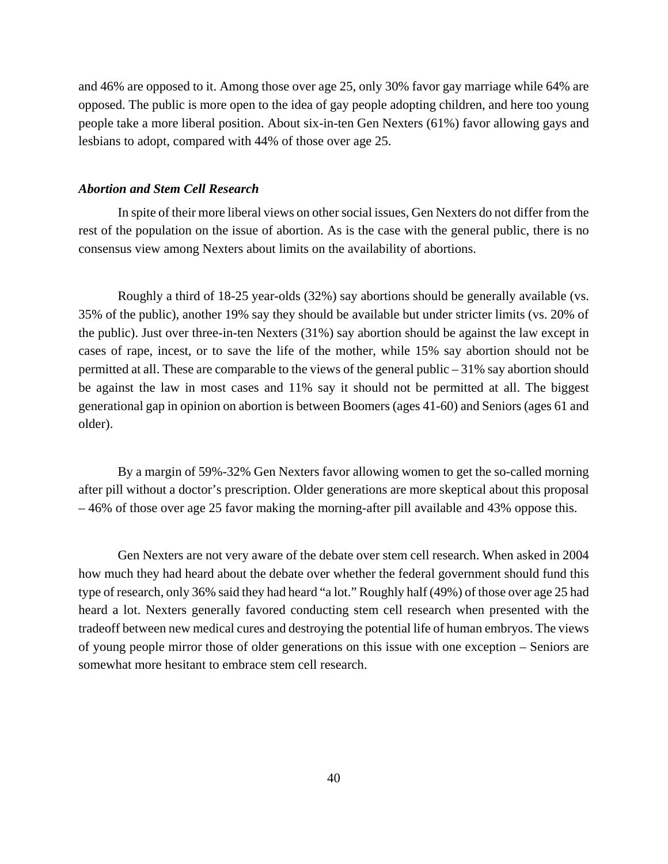and 46% are opposed to it. Among those over age 25, only 30% favor gay marriage while 64% are opposed. The public is more open to the idea of gay people adopting children, and here too young people take a more liberal position. About six-in-ten Gen Nexters (61%) favor allowing gays and lesbians to adopt, compared with 44% of those over age 25.

#### *Abortion and Stem Cell Research*

In spite of their more liberal views on other social issues, Gen Nexters do not differ from the rest of the population on the issue of abortion. As is the case with the general public, there is no consensus view among Nexters about limits on the availability of abortions.

Roughly a third of 18-25 year-olds (32%) say abortions should be generally available (vs. 35% of the public), another 19% say they should be available but under stricter limits (vs. 20% of the public). Just over three-in-ten Nexters (31%) say abortion should be against the law except in cases of rape, incest, or to save the life of the mother, while 15% say abortion should not be permitted at all. These are comparable to the views of the general public – 31% say abortion should be against the law in most cases and 11% say it should not be permitted at all. The biggest generational gap in opinion on abortion is between Boomers (ages 41-60) and Seniors (ages 61 and older).

By a margin of 59%-32% Gen Nexters favor allowing women to get the so-called morning after pill without a doctor's prescription. Older generations are more skeptical about this proposal – 46% of those over age 25 favor making the morning-after pill available and 43% oppose this.

Gen Nexters are not very aware of the debate over stem cell research. When asked in 2004 how much they had heard about the debate over whether the federal government should fund this type of research, only 36% said they had heard "a lot." Roughly half (49%) of those over age 25 had heard a lot. Nexters generally favored conducting stem cell research when presented with the tradeoff between new medical cures and destroying the potential life of human embryos. The views of young people mirror those of older generations on this issue with one exception – Seniors are somewhat more hesitant to embrace stem cell research.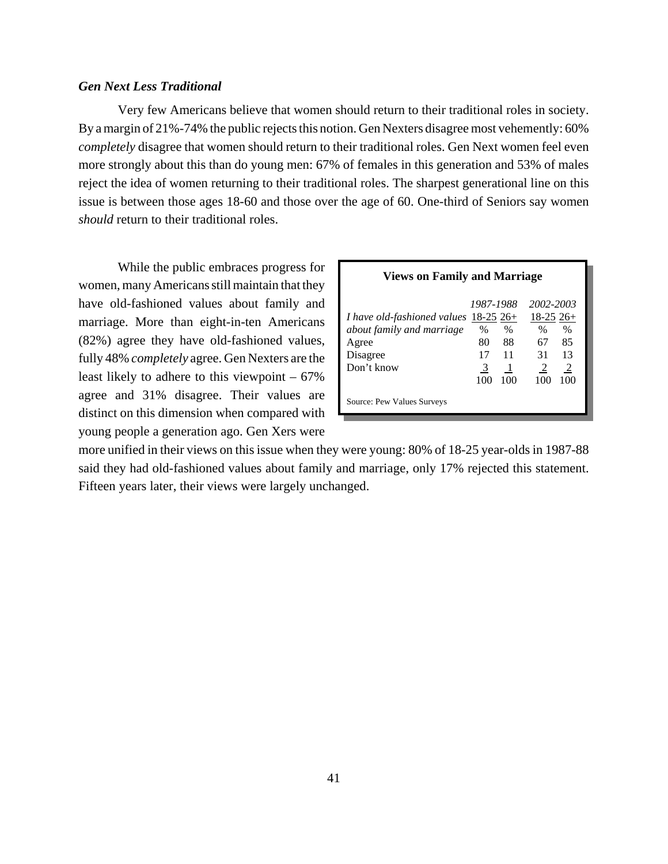# *Gen Next Less Traditional*

Very few Americans believe that women should return to their traditional roles in society. By a margin of 21%-74% the public rejects this notion. Gen Nexters disagree most vehemently: 60% *completely* disagree that women should return to their traditional roles. Gen Next women feel even more strongly about this than do young men: 67% of females in this generation and 53% of males reject the idea of women returning to their traditional roles. The sharpest generational line on this issue is between those ages 18-60 and those over the age of 60. One-third of Seniors say women *should* return to their traditional roles.

While the public embraces progress for women, many Americans still maintain that they have old-fashioned values about family and marriage. More than eight-in-ten Americans (82%) agree they have old-fashioned values, fully 48% *completely* agree. Gen Nexters are the least likely to adhere to this viewpoint – 67% agree and 31% disagree. Their values are distinct on this dimension when compared with young people a generation ago. Gen Xers were

| <b>Views on Family and Marriage</b>              |           |      |             |      |  |
|--------------------------------------------------|-----------|------|-------------|------|--|
|                                                  | 1987-1988 |      | 2002-2003   |      |  |
| <i>I</i> have old-fashioned values $18-25$ $26+$ |           |      | $18-25$ 26+ |      |  |
| about family and marriage                        | $\%$      | $\%$ | $\%$        | $\%$ |  |
| Agree                                            | 80        | 88   | 67          | 85   |  |
| Disagree                                         | 17        | 11   | 31          | 13   |  |
| Don't know                                       | 3         |      | 2           | 2    |  |
|                                                  | 100       | 100  | 100         | 100  |  |
| Source: Pew Values Surveys                       |           |      |             |      |  |

more unified in their views on this issue when they were young: 80% of 18-25 year-olds in 1987-88 said they had old-fashioned values about family and marriage, only 17% rejected this statement. Fifteen years later, their views were largely unchanged.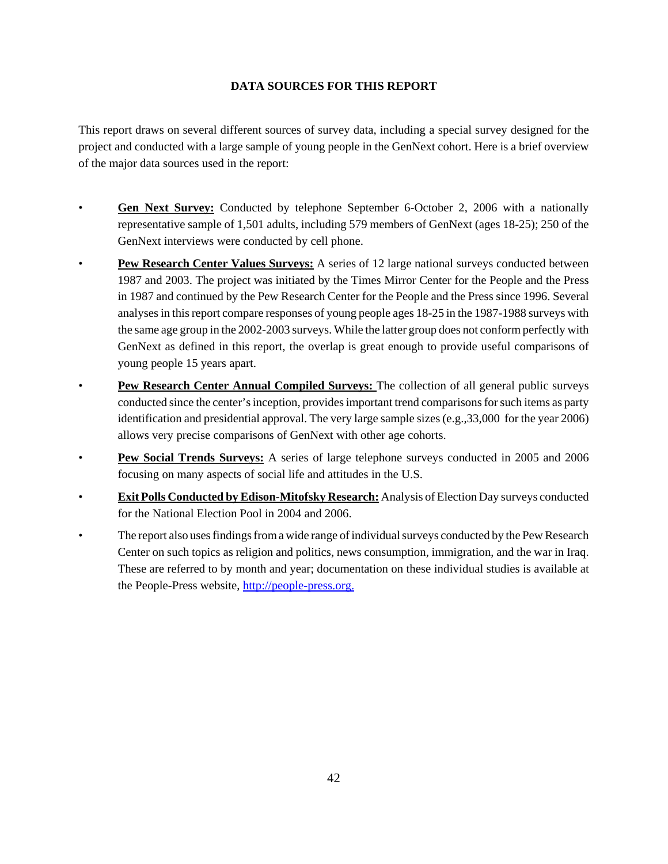#### **DATA SOURCES FOR THIS REPORT**

This report draws on several different sources of survey data, including a special survey designed for the project and conducted with a large sample of young people in the GenNext cohort. Here is a brief overview of the major data sources used in the report:

- **Gen Next Survey:** Conducted by telephone September 6-October 2, 2006 with a nationally representative sample of 1,501 adults, including 579 members of GenNext (ages 18-25); 250 of the GenNext interviews were conducted by cell phone.
- **Pew Research Center Values Surveys:** A series of 12 large national surveys conducted between 1987 and 2003. The project was initiated by the Times Mirror Center for the People and the Press in 1987 and continued by the Pew Research Center for the People and the Press since 1996. Several analyses in this report compare responses of young people ages 18-25 in the 1987-1988 surveys with the same age group in the 2002-2003 surveys. While the latter group does not conform perfectly with GenNext as defined in this report, the overlap is great enough to provide useful comparisons of young people 15 years apart.
- **Pew Research Center Annual Compiled Surveys:** The collection of all general public surveys conducted since the center's inception, provides important trend comparisons for such items as party identification and presidential approval. The very large sample sizes (e.g.,33,000 for the year 2006) allows very precise comparisons of GenNext with other age cohorts.
- **Pew Social Trends Surveys:** A series of large telephone surveys conducted in 2005 and 2006 focusing on many aspects of social life and attitudes in the U.S.
- **Exit Polls Conducted by Edison-Mitofsky Research:** Analysis of Election Day surveys conducted for the National Election Pool in 2004 and 2006.
- The report also uses findings from a wide range of individual surveys conducted by the Pew Research Center on such topics as religion and politics, news consumption, immigration, and the war in Iraq. These are referred to by month and year; documentation on these individual studies is available at the People-Press website, http://people-press.org.